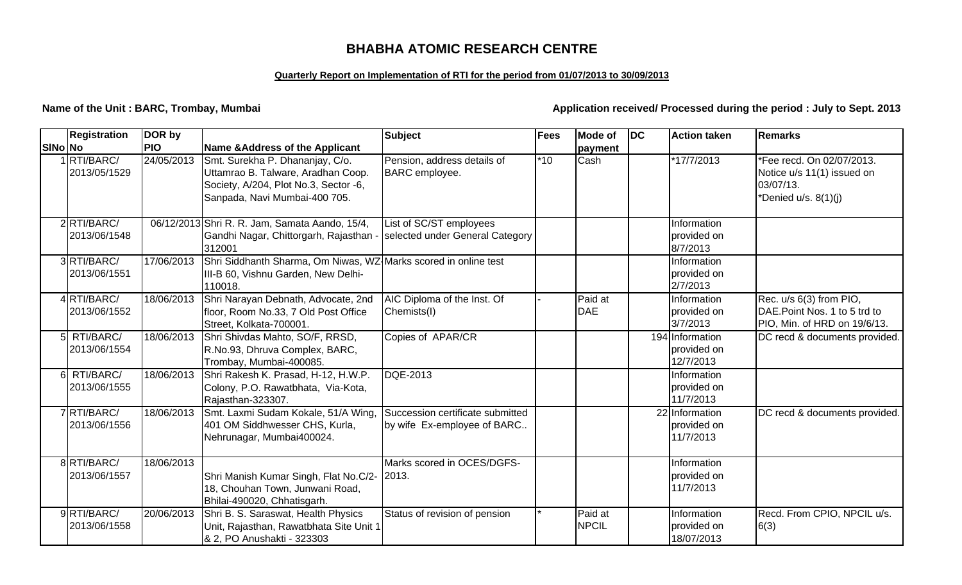# **BHABHA ATOMIC RESEARCH CENTRE**

#### **Quarterly Report on Implementation of RTI for the period from 01/07/2013 to 30/09/2013**

**Name of the Unit : BARC, Trombay, Mumbai** *Application received/ Processed during the period : July to Sept. 2013* 

|         | <b>Registration</b>         | DOR by     |                                                                                                                                                 | <b>Subject</b>                                                  | <b>Fees</b> | <b>Mode of</b>          | <b>DC</b> | <b>Action taken</b>                         | <b>Remarks</b>                                                                               |
|---------|-----------------------------|------------|-------------------------------------------------------------------------------------------------------------------------------------------------|-----------------------------------------------------------------|-------------|-------------------------|-----------|---------------------------------------------|----------------------------------------------------------------------------------------------|
| SINo No |                             | <b>PIO</b> | <b>Name &amp;Address of the Applicant</b>                                                                                                       |                                                                 |             | payment                 |           |                                             |                                                                                              |
|         | 1RTI/BARC/<br>2013/05/1529  | 24/05/2013 | Smt. Surekha P. Dhananjay, C/o.<br>Uttamrao B. Talware, Aradhan Coop.<br>Society, A/204, Plot No.3, Sector -6,<br>Sanpada, Navi Mumbai-400 705. | Pension, address details of<br><b>BARC</b> employee.            | $*10$       | Cash                    |           | *17/7/2013                                  | *Fee recd. On 02/07/2013.<br>Notice u/s 11(1) issued on<br>03/07/13.<br>*Denied u/s. 8(1)(j) |
|         | 2RTI/BARC/<br>2013/06/1548  |            | 06/12/2013 Shri R. R. Jam, Samata Aando, 15/4,<br>Gandhi Nagar, Chittorgarh, Rajasthan -<br>312001                                              | List of SC/ST employees<br>selected under General Category      |             |                         |           | Information<br>provided on<br>8/7/2013      |                                                                                              |
|         | 3RTI/BARC/<br>2013/06/1551  | 17/06/2013 | Shri Siddhanth Sharma, Om Niwas, WZ Marks scored in online test<br>III-B 60, Vishnu Garden, New Delhi-<br>110018.                               |                                                                 |             |                         |           | Information<br>provided on<br>2/7/2013      |                                                                                              |
|         | 4RTI/BARC/<br>2013/06/1552  | 18/06/2013 | Shri Narayan Debnath, Advocate, 2nd<br>floor, Room No.33, 7 Old Post Office<br>Street, Kolkata-700001.                                          | AIC Diploma of the Inst. Of<br>Chemists(I)                      |             | Paid at<br><b>DAE</b>   |           | Information<br>provided on<br>3/7/2013      | Rec. u/s 6(3) from PIO,<br>DAE. Point Nos. 1 to 5 trd to<br>PIO, Min. of HRD on 19/6/13.     |
|         | 5 RTI/BARC/<br>2013/06/1554 | 18/06/2013 | Shri Shivdas Mahto, SO/F, RRSD,<br>R.No.93, Dhruva Complex, BARC,<br>Trombay, Mumbai-400085.                                                    | Copies of APAR/CR                                               |             |                         |           | 194 Information<br>provided on<br>12/7/2013 | DC recd & documents provided.                                                                |
|         | 6 RTI/BARC/<br>2013/06/1555 | 18/06/2013 | Shri Rakesh K. Prasad, H-12, H.W.P.<br>Colony, P.O. Rawatbhata, Via-Kota,<br>Rajasthan-323307.                                                  | DQE-2013                                                        |             |                         |           | Information<br>provided on<br>11/7/2013     |                                                                                              |
|         | 7RTI/BARC/<br>2013/06/1556  | 18/06/2013 | Smt. Laxmi Sudam Kokale, 51/A Wing,<br>401 OM Siddhwesser CHS, Kurla,<br>Nehrunagar, Mumbai400024.                                              | Succession certificate submitted<br>by wife Ex-employee of BARC |             |                         |           | 22 Information<br>provided on<br>11/7/2013  | DC recd & documents provided.                                                                |
|         | 8RTI/BARC/<br>2013/06/1557  | 18/06/2013 | Shri Manish Kumar Singh, Flat No.C/2-<br>18, Chouhan Town, Junwani Road,<br>Bhilai-490020, Chhatisgarh.                                         | Marks scored in OCES/DGFS-<br> 2013.                            |             |                         |           | Information<br>provided on<br>11/7/2013     |                                                                                              |
|         | 9RTI/BARC/<br>2013/06/1558  | 20/06/2013 | Shri B. S. Saraswat, Health Physics<br>Unit, Rajasthan, Rawatbhata Site Unit 1<br>& 2, PO Anushakti - 323303                                    | Status of revision of pension                                   |             | Paid at<br><b>NPCIL</b> |           | Information<br>provided on<br>18/07/2013    | Recd. From CPIO, NPCIL u/s.<br>6(3)                                                          |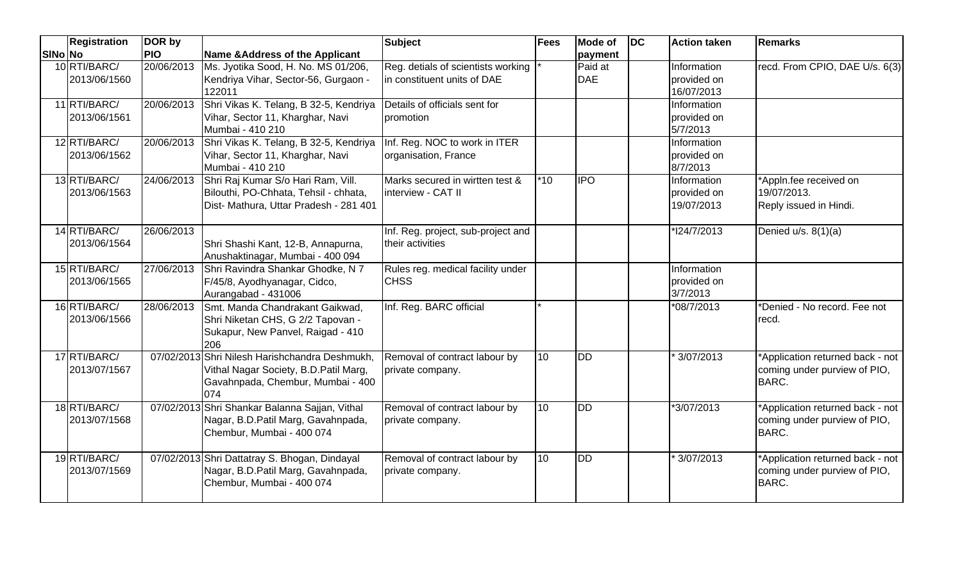|         | Registration                 | DOR by     |                                                                                                                                      | <b>Subject</b>                                                    | <b>Fees</b> | <b>Mode of</b>        | $\overline{D}$ | <b>Action taken</b>                      | <b>Remarks</b>                                                                   |
|---------|------------------------------|------------|--------------------------------------------------------------------------------------------------------------------------------------|-------------------------------------------------------------------|-------------|-----------------------|----------------|------------------------------------------|----------------------------------------------------------------------------------|
| SINo No |                              | <b>PIO</b> | Name & Address of the Applicant                                                                                                      |                                                                   |             | payment               |                |                                          |                                                                                  |
|         | 10 RTI/BARC/<br>2013/06/1560 | 20/06/2013 | Ms. Jyotika Sood, H. No. MS 01/206,<br>Kendriya Vihar, Sector-56, Gurgaon -<br>122011                                                | Reg. detials of scientists working<br>in constituent units of DAE |             | Paid at<br><b>DAE</b> |                | Information<br>provided on<br>16/07/2013 | recd. From CPIO, DAE U/s. 6(3)                                                   |
|         | 11 RTI/BARC/<br>2013/06/1561 | 20/06/2013 | Shri Vikas K. Telang, B 32-5, Kendriya<br>Vihar, Sector 11, Kharghar, Navi<br>Mumbai - 410 210                                       | Details of officials sent for<br>promotion                        |             |                       |                | Information<br>provided on<br>5/7/2013   |                                                                                  |
|         | 12 RTI/BARC/<br>2013/06/1562 | 20/06/2013 | Shri Vikas K. Telang, B 32-5, Kendriya<br>Vihar, Sector 11, Kharghar, Navi<br>Mumbai - 410 210                                       | Inf. Reg. NOC to work in ITER<br>organisation, France             |             |                       |                | Information<br>provided on<br>8/7/2013   |                                                                                  |
|         | 13 RTI/BARC/<br>2013/06/1563 | 24/06/2013 | Shri Raj Kumar S/o Hari Ram, Vill.<br>Bilouthi, PO-Chhata, Tehsil - chhata,<br>Dist- Mathura, Uttar Pradesh - 281 401                | Marks secured in wirtten test &<br>interview - CAT II             | $*10$       | <b>IPO</b>            |                | Information<br>provided on<br>19/07/2013 | *Appln.fee received on<br>19/07/2013.<br>Reply issued in Hindi.                  |
|         | 14 RTI/BARC/<br>2013/06/1564 | 26/06/2013 | Shri Shashi Kant, 12-B, Annapurna,<br>Anushaktinagar, Mumbai - 400 094                                                               | Inf. Reg. project, sub-project and<br>their activities            |             |                       |                | *124/7/2013                              | Denied u/s. 8(1)(a)                                                              |
|         | 15 RTI/BARC/<br>2013/06/1565 | 27/06/2013 | Shri Ravindra Shankar Ghodke, N 7<br>F/45/8, Ayodhyanagar, Cidco,<br>Aurangabad - 431006                                             | Rules reg. medical facility under<br><b>CHSS</b>                  |             |                       |                | Information<br>provided on<br>3/7/2013   |                                                                                  |
|         | 16 RTI/BARC/<br>2013/06/1566 | 28/06/2013 | Smt. Manda Chandrakant Gaikwad,<br>Shri Niketan CHS, G 2/2 Tapovan -<br>Sukapur, New Panvel, Raigad - 410<br>206                     | Inf. Reg. BARC official                                           |             |                       |                | *08/7/2013                               | *Denied - No record. Fee not<br>recd.                                            |
|         | 17 RTI/BARC/<br>2013/07/1567 |            | 07/02/2013 Shri Nilesh Harishchandra Deshmukh,<br>Vithal Nagar Society, B.D. Patil Marg,<br>Gavahnpada, Chembur, Mumbai - 400<br>074 | Removal of contract labour by<br>private company.                 | 10          | <b>DD</b>             |                | 3/07/2013                                | *Application returned back - not<br>coming under purview of PIO,<br><b>BARC.</b> |
|         | 18 RTI/BARC/<br>2013/07/1568 |            | 07/02/2013 Shri Shankar Balanna Sajjan, Vithal<br>Nagar, B.D.Patil Marg, Gavahnpada,<br>Chembur, Mumbai - 400 074                    | Removal of contract labour by<br>private company.                 | 10          | <b>DD</b>             |                | *3/07/2013                               | *Application returned back - not<br>coming under purview of PIO,<br><b>BARC.</b> |
|         | 19 RTI/BARC/<br>2013/07/1569 |            | 07/02/2013 Shri Dattatray S. Bhogan, Dindayal<br>Nagar, B.D.Patil Marg, Gavahnpada,<br>Chembur, Mumbai - 400 074                     | Removal of contract labour by<br>private company.                 | 10          | <b>DD</b>             |                | 3/07/2013                                | *Application returned back - not<br>coming under purview of PIO,<br><b>BARC.</b> |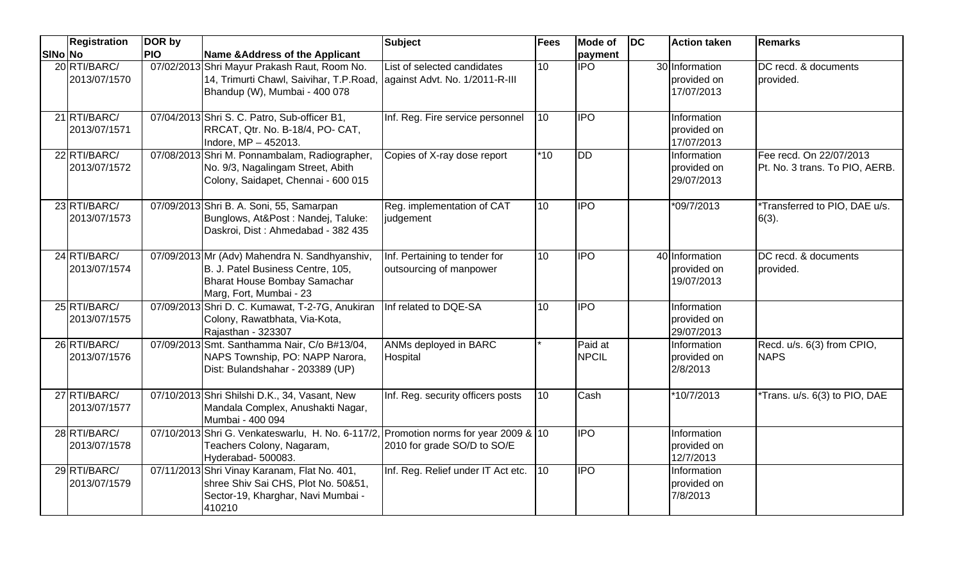|         | <b>Registration</b>          | DOR by     |                                                                                                                                               | <b>Subject</b>                                                | <b>Fees</b>      | <b>Mode of</b>          | <b>DC</b> | <b>Action taken</b>                         | <b>Remarks</b>                                            |
|---------|------------------------------|------------|-----------------------------------------------------------------------------------------------------------------------------------------------|---------------------------------------------------------------|------------------|-------------------------|-----------|---------------------------------------------|-----------------------------------------------------------|
| SINo No |                              | <b>PIO</b> | Name & Address of the Applicant                                                                                                               |                                                               |                  | payment                 |           |                                             |                                                           |
|         | 20 RTI/BARC/<br>2013/07/1570 |            | 07/02/2013 Shri Mayur Prakash Raut, Room No.<br>14, Trimurti Chawl, Saivihar, T.P.Road,<br>Bhandup (W), Mumbai - 400 078                      | List of selected candidates<br>against Advt. No. 1/2011-R-III | 10               | <b>IPO</b>              |           | 30 Information<br>provided on<br>17/07/2013 | DC recd. & documents<br>provided.                         |
|         | 21 RTI/BARC/<br>2013/07/1571 |            | 07/04/2013 Shri S. C. Patro, Sub-officer B1,<br>RRCAT, Qtr. No. B-18/4, PO- CAT,<br>Indore, MP - 452013.                                      | Inf. Reg. Fire service personnel                              | $\overline{10}$  | <b>IPO</b>              |           | Information<br>provided on<br>17/07/2013    |                                                           |
|         | 22 RTI/BARC/<br>2013/07/1572 |            | 07/08/2013 Shri M. Ponnambalam, Radiographer,<br>No. 9/3, Nagalingam Street, Abith<br>Colony, Saidapet, Chennai - 600 015                     | Copies of X-ray dose report                                   | $*10$            | <b>IDD</b>              |           | Information<br>provided on<br>29/07/2013    | Fee recd. On 22/07/2013<br>Pt. No. 3 trans. To PIO, AERB. |
|         | 23 RTI/BARC/<br>2013/07/1573 |            | 07/09/2013 Shri B. A. Soni, 55, Samarpan<br>Bunglows, At&Post: Nandej, Taluke:<br>Daskroi, Dist: Ahmedabad - 382 435                          | Reg. implementation of CAT<br>judgement                       | 10               | <b>IPO</b>              |           | $*09/7/2013$                                | Transferred to PIO, DAE u/s.<br>$6(3)$ .                  |
|         | 24 RTI/BARC/<br>2013/07/1574 |            | 07/09/2013 Mr (Adv) Mahendra N. Sandhyanshiv,<br>B. J. Patel Business Centre, 105,<br>Bharat House Bombay Samachar<br>Marg, Fort, Mumbai - 23 | Inf. Pertaining to tender for<br>outsourcing of manpower      | 10               | <b>IPO</b>              |           | 40 Information<br>provided on<br>19/07/2013 | DC recd. & documents<br>provided.                         |
|         | 25 RTI/BARC/<br>2013/07/1575 |            | 07/09/2013 Shri D. C. Kumawat, T-2-7G, Anukiran<br>Colony, Rawatbhata, Via-Kota,<br>Rajasthan - 323307                                        | Inf related to DQE-SA                                         | 10               | $\overline{IPO}$        |           | Information<br>provided on<br>29/07/2013    |                                                           |
|         | 26 RTI/BARC/<br>2013/07/1576 |            | 07/09/2013 Smt. Santhamma Nair, C/o B#13/04,<br>NAPS Township, PO: NAPP Narora,<br>Dist: Bulandshahar - 203389 (UP)                           | ANMs deployed in BARC<br>Hospital                             |                  | Paid at<br><b>NPCIL</b> |           | Information<br>provided on<br>2/8/2013      | Recd. u/s. 6(3) from CPIO,<br><b>NAPS</b>                 |
|         | 27 RTI/BARC/<br>2013/07/1577 |            | 07/10/2013 Shri Shilshi D.K., 34, Vasant, New<br>Mandala Complex, Anushakti Nagar,<br>Mumbai - 400 094                                        | Inf. Reg. security officers posts                             | 10               | Cash                    |           | *10/7/2013                                  | *Trans. u/s. 6(3) to PIO, DAE                             |
|         | 28 RTI/BARC/<br>2013/07/1578 |            | 07/10/2013 Shri G. Venkateswarlu, H. No. 6-117/2, Promotion norms for year 2009 & 10<br>Teachers Colony, Nagaram,<br>Hyderabad- 500083.       | 2010 for grade SO/D to SO/E                                   |                  | <b>IPO</b>              |           | Information<br>provided on<br>12/7/2013     |                                                           |
|         | 29 RTI/BARC/<br>2013/07/1579 |            | 07/11/2013 Shri Vinay Karanam, Flat No. 401,<br>shree Shiv Sai CHS, Plot No. 50&51,<br>Sector-19, Kharghar, Navi Mumbai -<br>410210           | Inf. Reg. Relief under IT Act etc.                            | 10 <sup>10</sup> | <b>IPO</b>              |           | Information<br>provided on<br>7/8/2013      |                                                           |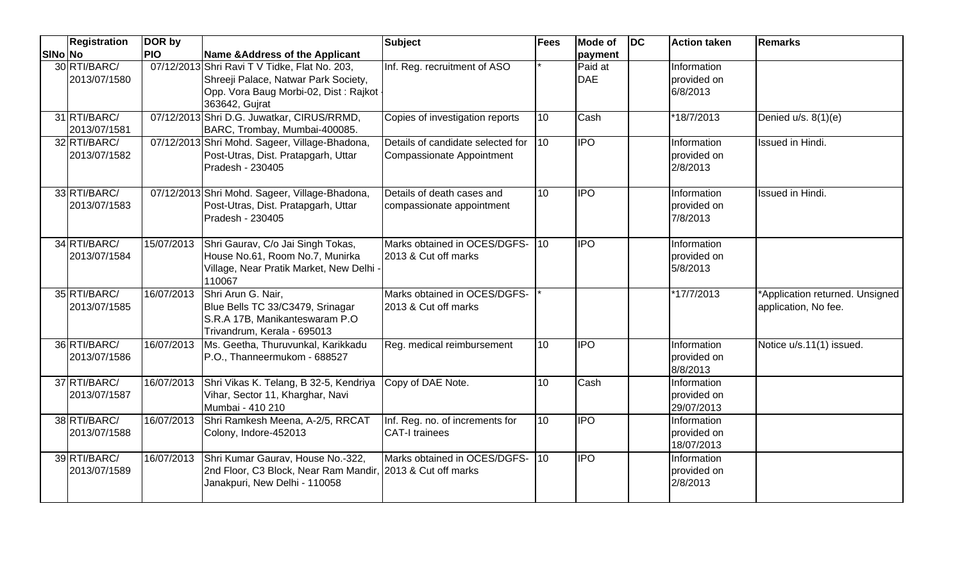|                | <b>Registration</b>          | DOR by     |                                                                                                                                                  | <b>Subject</b>                                                        | <b>Fees</b>     | <b>Mode of</b>        | <b>DC</b> | <b>Action taken</b>                      | Remarks                                                 |
|----------------|------------------------------|------------|--------------------------------------------------------------------------------------------------------------------------------------------------|-----------------------------------------------------------------------|-----------------|-----------------------|-----------|------------------------------------------|---------------------------------------------------------|
| <b>SINo No</b> |                              | <b>PIO</b> | Name & Address of the Applicant                                                                                                                  |                                                                       |                 | payment               |           |                                          |                                                         |
|                | 30 RTI/BARC/<br>2013/07/1580 |            | 07/12/2013 Shri Ravi T V Tidke, Flat No. 203,<br>Shreeji Palace, Natwar Park Society,<br>Opp. Vora Baug Morbi-02, Dist: Rajkot<br>363642, Gujrat | Inf. Reg. recruitment of ASO                                          |                 | Paid at<br><b>DAE</b> |           | Information<br>provided on<br>6/8/2013   |                                                         |
|                | 31 RTI/BARC/<br>2013/07/1581 |            | 07/12/2013 Shri D.G. Juwatkar, CIRUS/RRMD,<br>BARC, Trombay, Mumbai-400085.                                                                      | Copies of investigation reports                                       | 10              | Cash                  |           | *18/7/2013                               | Denied u/s. 8(1)(e)                                     |
|                | 32 RTI/BARC/<br>2013/07/1582 |            | 07/12/2013 Shri Mohd. Sageer, Village-Bhadona,<br>Post-Utras, Dist. Pratapgarh, Uttar<br>Pradesh - 230405                                        | Details of candidate selected for<br><b>Compassionate Appointment</b> | 110             | <b>IPO</b>            |           | Information<br>provided on<br>2/8/2013   | Issued in Hindi.                                        |
|                | 33 RTI/BARC/<br>2013/07/1583 |            | 07/12/2013 Shri Mohd. Sageer, Village-Bhadona,<br>Post-Utras, Dist. Pratapgarh, Uttar<br>Pradesh - 230405                                        | Details of death cases and<br>compassionate appointment               | 10              | <b>IPO</b>            |           | Information<br>provided on<br>7/8/2013   | <b>Issued in Hindi.</b>                                 |
|                | 34 RTI/BARC/<br>2013/07/1584 | 15/07/2013 | Shri Gaurav, C/o Jai Singh Tokas,<br>House No.61, Room No.7, Munirka<br>Village, Near Pratik Market, New Delhi -<br>110067                       | Marks obtained in OCES/DGFS-<br>2013 & Cut off marks                  | 110             | <b>IPO</b>            |           | Information<br>provided on<br>5/8/2013   |                                                         |
|                | 35 RTI/BARC/<br>2013/07/1585 | 16/07/2013 | Shri Arun G. Nair,<br>Blue Bells TC 33/C3479, Srinagar<br>S.R.A 17B, Manikanteswaram P.O<br>Trivandrum, Kerala - 695013                          | Marks obtained in OCES/DGFS-<br>2013 & Cut off marks                  |                 |                       |           | *17/7/2013                               | *Application returned. Unsigned<br>application, No fee. |
|                | 36 RTI/BARC/<br>2013/07/1586 | 16/07/2013 | Ms. Geetha, Thuruvunkal, Karikkadu<br>P.O., Thanneermukom - 688527                                                                               | Reg. medical reimbursement                                            | $\overline{10}$ | <b>IPO</b>            |           | Information<br>provided on<br>8/8/2013   | Notice u/s.11(1) issued.                                |
|                | 37 RTI/BARC/<br>2013/07/1587 | 16/07/2013 | Shri Vikas K. Telang, B 32-5, Kendriya<br>Vihar, Sector 11, Kharghar, Navi<br>Mumbai - 410 210                                                   | Copy of DAE Note.                                                     | 10              | Cash                  |           | Information<br>provided on<br>29/07/2013 |                                                         |
|                | 38 RTI/BARC/<br>2013/07/1588 | 16/07/2013 | Shri Ramkesh Meena, A-2/5, RRCAT<br>Colony, Indore-452013                                                                                        | Inf. Reg. no. of increments for<br><b>CAT-I trainees</b>              | 10              | <b>IPO</b>            |           | Information<br>provided on<br>18/07/2013 |                                                         |
|                | 39 RTI/BARC/<br>2013/07/1589 |            | 16/07/2013 Shri Kumar Gaurav, House No.-322,<br>2nd Floor, C3 Block, Near Ram Mandir, 2013 & Cut off marks<br>Janakpuri, New Delhi - 110058      | Marks obtained in OCES/DGFS-                                          | 110             | <b>IPO</b>            |           | Information<br>provided on<br>2/8/2013   |                                                         |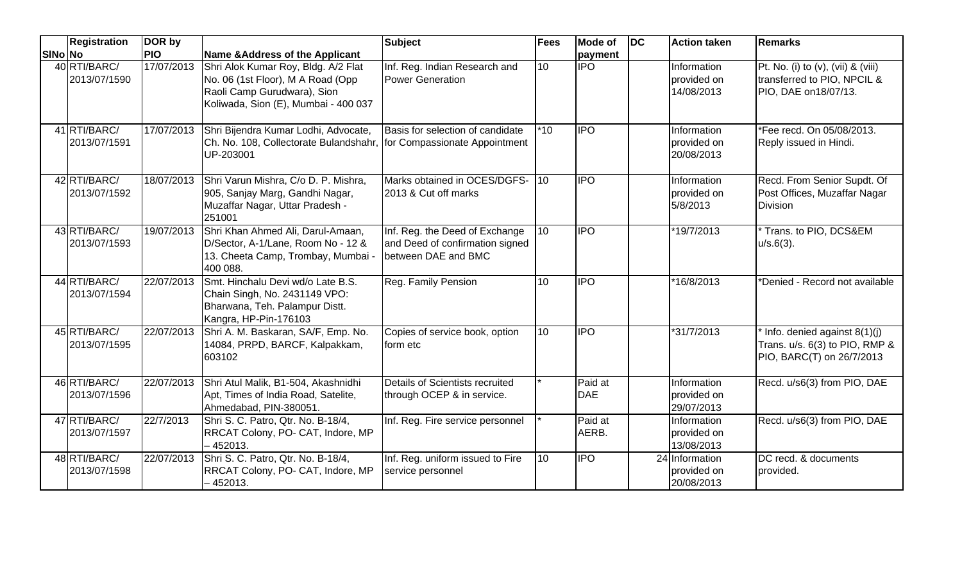|                | Registration                 | DOR by     |                                                                                                                                                 | <b>Subject</b>                                                                           | <b>Fees</b> | <b>Mode of</b>        | <b>DC</b> | <b>Action taken</b>                         | <b>Remarks</b>                                                                                             |
|----------------|------------------------------|------------|-------------------------------------------------------------------------------------------------------------------------------------------------|------------------------------------------------------------------------------------------|-------------|-----------------------|-----------|---------------------------------------------|------------------------------------------------------------------------------------------------------------|
| <b>SINo No</b> |                              | <b>PIO</b> | Name & Address of the Applicant                                                                                                                 |                                                                                          |             | payment               |           |                                             |                                                                                                            |
|                | 40 RTI/BARC/<br>2013/07/1590 | 17/07/2013 | Shri Alok Kumar Roy, Bldg. A/2 Flat<br>No. 06 (1st Floor), M A Road (Opp<br>Raoli Camp Gurudwara), Sion<br>Koliwada, Sion (E), Mumbai - 400 037 | Inf. Reg. Indian Research and<br><b>Power Generation</b>                                 | 10          | <b>IPO</b>            |           | Information<br>provided on<br>14/08/2013    | Pt. No. (i) to $(v)$ , $(vii)$ & $(viii)$<br>transferred to PIO, NPCIL &<br>PIO, DAE on 18/07/13.          |
|                | 41 RTI/BARC/<br>2013/07/1591 | 17/07/2013 | Shri Bijendra Kumar Lodhi, Advocate,<br>Ch. No. 108, Collectorate Bulandshahr, for Compassionate Appointment<br>UP-203001                       | Basis for selection of candidate                                                         | $*10$       | <b>IPO</b>            |           | Information<br>provided on<br>20/08/2013    | *Fee recd. On 05/08/2013.<br>Reply issued in Hindi.                                                        |
|                | 42 RTI/BARC/<br>2013/07/1592 |            | 18/07/2013 Shri Varun Mishra, C/o D. P. Mishra,<br>905, Sanjay Marg, Gandhi Nagar,<br>Muzaffar Nagar, Uttar Pradesh -<br>251001                 | Marks obtained in OCES/DGFS-<br>2013 & Cut off marks                                     | 110         | <b>IPO</b>            |           | Information<br>provided on<br>5/8/2013      | Recd. From Senior Supdt. Of<br>Post Offices, Muzaffar Nagar<br><b>Division</b>                             |
|                | 43 RTI/BARC/<br>2013/07/1593 | 19/07/2013 | Shri Khan Ahmed Ali, Darul-Amaan,<br>D/Sector, A-1/Lane, Room No - 12 &<br>13. Cheeta Camp, Trombay, Mumbai -<br>400 088.                       | Inf. Reg. the Deed of Exchange<br>and Deed of confirmation signed<br>between DAE and BMC | 10          | <b>IPO</b>            |           | *19/7/2013                                  | Trans. to PIO, DCS&EM<br>$u/s.6(3)$ .                                                                      |
|                | 44 RTI/BARC/<br>2013/07/1594 | 22/07/2013 | Smt. Hinchalu Devi wd/o Late B.S.<br>Chain Singh, No. 2431149 VPO:<br>Bharwana, Teh. Palampur Distt.<br>Kangra, HP-Pin-176103                   | Reg. Family Pension                                                                      | 10          | <b>IPO</b>            |           | *16/8/2013                                  | *Denied - Record not available                                                                             |
|                | 45 RTI/BARC/<br>2013/07/1595 |            | 22/07/2013 Shri A. M. Baskaran, SA/F, Emp. No.<br>14084, PRPD, BARCF, Kalpakkam,<br>603102                                                      | Copies of service book, option<br>form etc                                               | 10          | $\overline{IPO}$      |           | *31/7/2013                                  | $\sqrt{\ln 1}$ Info. denied against 8(1)(j)<br>Trans. u/s. 6(3) to PIO, RMP &<br>PIO, BARC(T) on 26/7/2013 |
|                | 46 RTI/BARC/<br>2013/07/1596 | 22/07/2013 | Shri Atul Malik, B1-504, Akashnidhi<br>Apt, Times of India Road, Satelite,<br>Ahmedabad, PIN-380051.                                            | Details of Scientists recruited<br>through OCEP & in service.                            |             | Paid at<br><b>DAE</b> |           | Information<br>provided on<br>29/07/2013    | Recd. u/s6(3) from PIO, DAE                                                                                |
|                | 47 RTI/BARC/<br>2013/07/1597 | 22/7/2013  | Shri S. C. Patro, Qtr. No. B-18/4,<br>RRCAT Colony, PO- CAT, Indore, MP<br>- 452013.                                                            | Inf. Reg. Fire service personnel                                                         |             | Paid at<br>AERB.      |           | Information<br>provided on<br>13/08/2013    | Recd. u/s6(3) from PIO, DAE                                                                                |
|                | 48 RTI/BARC/<br>2013/07/1598 |            | 22/07/2013 Shri S. C. Patro, Qtr. No. B-18/4,<br>RRCAT Colony, PO- CAT, Indore, MP<br>$-452013.$                                                | Inf. Reg. uniform issued to Fire<br>service personnel                                    | 10          | <b>IPO</b>            |           | 24 Information<br>provided on<br>20/08/2013 | DC recd. & documents<br>provided.                                                                          |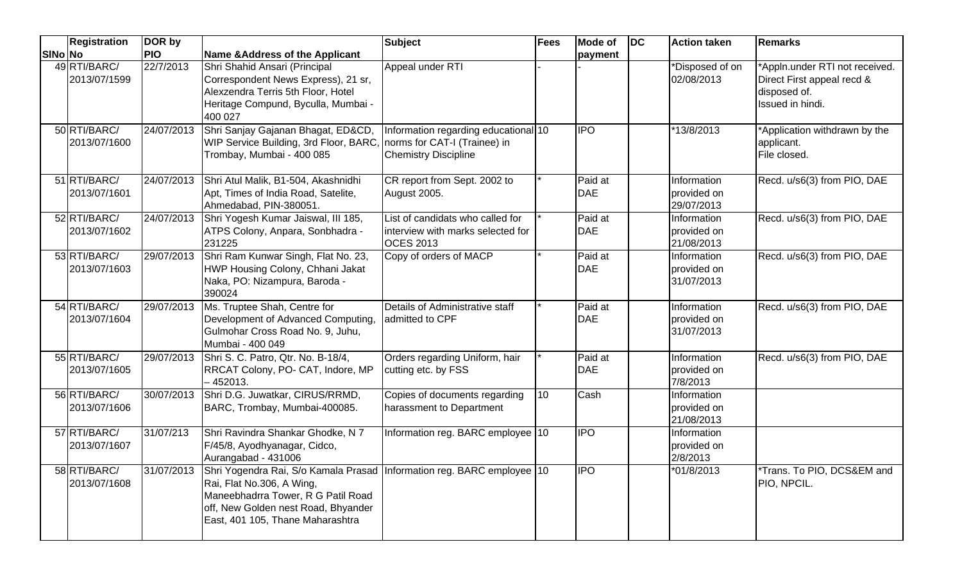|         | <b>Registration</b>          | DOR by     |                                                                                                                                                                                                                                 | <b>Subject</b>                                                                            | <b>Fees</b> | <b>Mode of</b>        | $\overline{D}$ | <b>Action taken</b>                      | <b>Remarks</b>                                                                                   |
|---------|------------------------------|------------|---------------------------------------------------------------------------------------------------------------------------------------------------------------------------------------------------------------------------------|-------------------------------------------------------------------------------------------|-------------|-----------------------|----------------|------------------------------------------|--------------------------------------------------------------------------------------------------|
| SINo No |                              | <b>PIO</b> | Name & Address of the Applicant                                                                                                                                                                                                 |                                                                                           |             | payment               |                |                                          |                                                                                                  |
|         | 49 RTI/BARC/<br>2013/07/1599 | 22/7/2013  | Shri Shahid Ansari (Principal<br>Correspondent News Express), 21 sr,<br>Alexzendra Terris 5th Floor, Hotel<br>Heritage Compund, Byculla, Mumbai -<br>400 027                                                                    | Appeal under RTI                                                                          |             |                       |                | *Disposed of on<br>02/08/2013            | *Appln.under RTI not received.<br>Direct First appeal recd &<br>disposed of.<br>Issued in hindi. |
|         | 50 RTI/BARC/<br>2013/07/1600 | 24/07/2013 | Shri Sanjay Gajanan Bhagat, ED&CD,<br>WIP Service Building, 3rd Floor, BARC, norms for CAT-I (Trainee) in<br>Trombay, Mumbai - 400 085                                                                                          | Information regarding educational 10<br><b>Chemistry Discipline</b>                       |             | <b>IPO</b>            |                | 13/8/2013                                | *Application withdrawn by the<br>applicant.<br>File closed.                                      |
|         | 51 RTI/BARC/<br>2013/07/1601 | 24/07/2013 | Shri Atul Malik, B1-504, Akashnidhi<br>Apt, Times of India Road, Satelite,<br>Ahmedabad, PIN-380051.                                                                                                                            | CR report from Sept. 2002 to<br>August 2005.                                              |             | Paid at<br><b>DAE</b> |                | Information<br>provided on<br>29/07/2013 | Recd. u/s6(3) from PIO, DAE                                                                      |
|         | 52 RTI/BARC/<br>2013/07/1602 | 24/07/2013 | Shri Yogesh Kumar Jaiswal, III 185,<br>ATPS Colony, Anpara, Sonbhadra -<br>231225                                                                                                                                               | List of candidats who called for<br>interview with marks selected for<br><b>OCES 2013</b> |             | Paid at<br><b>DAE</b> |                | Information<br>provided on<br>21/08/2013 | Recd. u/s6(3) from PIO, DAE                                                                      |
|         | 53 RTI/BARC/<br>2013/07/1603 | 29/07/2013 | Shri Ram Kunwar Singh, Flat No. 23,<br>HWP Housing Colony, Chhani Jakat<br>Naka, PO: Nizampura, Baroda -<br>390024                                                                                                              | Copy of orders of MACP                                                                    |             | Paid at<br><b>DAE</b> |                | Information<br>provided on<br>31/07/2013 | Recd. u/s6(3) from PIO, DAE                                                                      |
|         | 54 RTI/BARC/<br>2013/07/1604 | 29/07/2013 | Ms. Truptee Shah, Centre for<br>Development of Advanced Computing,<br>Gulmohar Cross Road No. 9, Juhu,<br>Mumbai - 400 049                                                                                                      | Details of Administrative staff<br>admitted to CPF                                        |             | Paid at<br><b>DAE</b> |                | Information<br>provided on<br>31/07/2013 | Recd. u/s6(3) from PIO, DAE                                                                      |
|         | 55 RTI/BARC/<br>2013/07/1605 | 29/07/2013 | Shri S. C. Patro, Qtr. No. B-18/4,<br>RRCAT Colony, PO- CAT, Indore, MP<br>452013.                                                                                                                                              | Orders regarding Uniform, hair<br>cutting etc. by FSS                                     |             | Paid at<br><b>DAE</b> |                | Information<br>provided on<br>7/8/2013   | Recd. u/s6(3) from PIO, DAE                                                                      |
|         | 56 RTI/BARC/<br>2013/07/1606 |            | 30/07/2013 Shri D.G. Juwatkar, CIRUS/RRMD,<br>BARC, Trombay, Mumbai-400085.                                                                                                                                                     | Copies of documents regarding<br>harassment to Department                                 | 10          | Cash                  |                | Information<br>provided on<br>21/08/2013 |                                                                                                  |
|         | 57 RTI/BARC/<br>2013/07/1607 | 31/07/213  | Shri Ravindra Shankar Ghodke, N 7<br>F/45/8, Ayodhyanagar, Cidco,<br>Aurangabad - 431006                                                                                                                                        | Information reg. BARC employee 10                                                         |             | <b>IPO</b>            |                | Information<br>provided on<br>2/8/2013   |                                                                                                  |
|         | 58 RTI/BARC/<br>2013/07/1608 |            | 31/07/2013 Shri Yogendra Rai, S/o Kamala Prasad Information reg. BARC employee 10<br>Rai, Flat No.306, A Wing,<br>Maneebhadrra Tower, R G Patil Road<br>off, New Golden nest Road, Bhyander<br>East, 401 105, Thane Maharashtra |                                                                                           |             | <b>IPO</b>            |                | *01/8/2013                               | *Trans. To PIO, DCS&EM and<br>PIO, NPCIL.                                                        |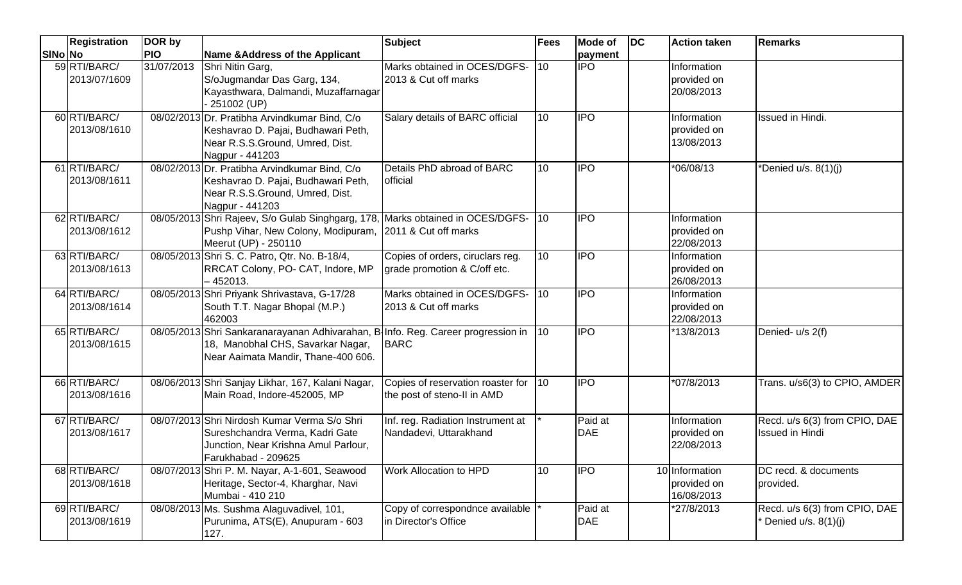|         | <b>Registration</b>          | DOR by     |                                                                                                                                                              | <b>Subject</b>                                                   | <b>Fees</b>      | <b>Mode of</b>        | $\overline{D}$ | <b>Action taken</b>                         | Remarks                                                 |
|---------|------------------------------|------------|--------------------------------------------------------------------------------------------------------------------------------------------------------------|------------------------------------------------------------------|------------------|-----------------------|----------------|---------------------------------------------|---------------------------------------------------------|
| SINo No |                              | <b>PIO</b> | Name & Address of the Applicant                                                                                                                              |                                                                  |                  | payment               |                |                                             |                                                         |
|         | 59 RTI/BARC/<br>2013/07/1609 | 31/07/2013 | Shri Nitin Garg,<br>S/oJugmandar Das Garg, 134,<br>Kayasthwara, Dalmandi, Muzaffarnagar<br>251002 (UP)                                                       | Marks obtained in OCES/DGFS-<br>2013 & Cut off marks             | 110              | <b>IPO</b>            |                | Information<br>provided on<br>20/08/2013    |                                                         |
|         | 60 RTI/BARC/<br>2013/08/1610 |            | 08/02/2013 Dr. Pratibha Arvindkumar Bind, C/o<br>Keshavrao D. Pajai, Budhawari Peth,<br>Near R.S.S.Ground, Umred, Dist.<br>Nagpur - 441203                   | Salary details of BARC official                                  | 10               | <b>IPO</b>            |                | Information<br>provided on<br>13/08/2013    | Issued in Hindi.                                        |
|         | 61 RTI/BARC/<br>2013/08/1611 |            | 08/02/2013 Dr. Pratibha Arvindkumar Bind, C/o<br>Keshavrao D. Pajai, Budhawari Peth,<br>Near R.S.S.Ground, Umred, Dist.<br>Nagpur - 441203                   | Details PhD abroad of BARC<br>official                           | 10               | <b>IPO</b>            |                | *06/08/13                                   | *Denied u/s. 8(1)(j)                                    |
|         | 62 RTI/BARC/<br>2013/08/1612 |            | 08/05/2013 Shri Rajeev, S/o Gulab Singhgarg, 178<br>Pushp Vihar, New Colony, Modipuram,<br>Meerut (UP) - 250110                                              | Marks obtained in OCES/DGFS-<br>2011 & Cut off marks             | 10 <sup>10</sup> | <b>IPO</b>            |                | Information<br>provided on<br>22/08/2013    |                                                         |
|         | 63 RTI/BARC/<br>2013/08/1613 |            | 08/05/2013 Shri S. C. Patro, Qtr. No. B-18/4,<br>RRCAT Colony, PO- CAT, Indore, MP<br>452013.                                                                | Copies of orders, ciruclars reg.<br>grade promotion & C/off etc. | 10               | $\overline{IPO}$      |                | Information<br>provided on<br>26/08/2013    |                                                         |
|         | 64 RTI/BARC/<br>2013/08/1614 |            | 08/05/2013 Shri Priyank Shrivastava, G-17/28<br>South T.T. Nagar Bhopal (M.P.)<br>462003                                                                     | Marks obtained in OCES/DGFS-<br>2013 & Cut off marks             | $\vert$ 10       | <b>IPO</b>            |                | Information<br>provided on<br>22/08/2013    |                                                         |
|         | 65 RTI/BARC/<br>2013/08/1615 |            | 08/05/2013 Shri Sankaranarayanan Adhivarahan, B-Info. Reg. Career progression in<br>18, Manobhal CHS, Savarkar Nagar,<br>Near Aaimata Mandir, Thane-400 606. | <b>BARC</b>                                                      | $\vert$ 10       | <b>IPO</b>            |                | *13/8/2013                                  | Denied- u/s 2(f)                                        |
|         | 66 RTI/BARC/<br>2013/08/1616 |            | 08/06/2013 Shri Sanjay Likhar, 167, Kalani Nagar,<br>Main Road, Indore-452005, MP                                                                            | Copies of reservation roaster for<br>the post of steno-II in AMD | 110              | $\overline{IPO}$      |                | *07/8/2013                                  | Trans. u/s6(3) to CPIO, AMDER                           |
|         | 67 RTI/BARC/<br>2013/08/1617 |            | 08/07/2013 Shri Nirdosh Kumar Verma S/o Shri<br>Sureshchandra Verma, Kadri Gate<br>Junction, Near Krishna Amul Parlour,<br>Farukhabad - 209625               | Inf. reg. Radiation Instrument at<br>Nandadevi, Uttarakhand      |                  | Paid at<br><b>DAE</b> |                | Information<br>provided on<br>22/08/2013    | Recd. u/s 6(3) from CPIO, DAE<br><b>Issued in Hindi</b> |
|         | 68 RTI/BARC/<br>2013/08/1618 |            | 08/07/2013 Shri P. M. Nayar, A-1-601, Seawood<br>Heritage, Sector-4, Kharghar, Navi<br>Mumbai - 410 210                                                      | Work Allocation to HPD                                           | 10               | <b>IPO</b>            |                | 10 Information<br>provided on<br>16/08/2013 | DC recd. & documents<br>provided.                       |
|         | 69 RTI/BARC/<br>2013/08/1619 |            | 08/08/2013 Ms. Sushma Alaguvadivel, 101,<br>Purunima, ATS(E), Anupuram - 603<br>127.                                                                         | Copy of correspondnce available<br>in Director's Office          |                  | Paid at<br>DAE        |                | *27/8/2013                                  | Recd. u/s 6(3) from CPIO, DAE<br>Denied $u/s. 8(1)(j)$  |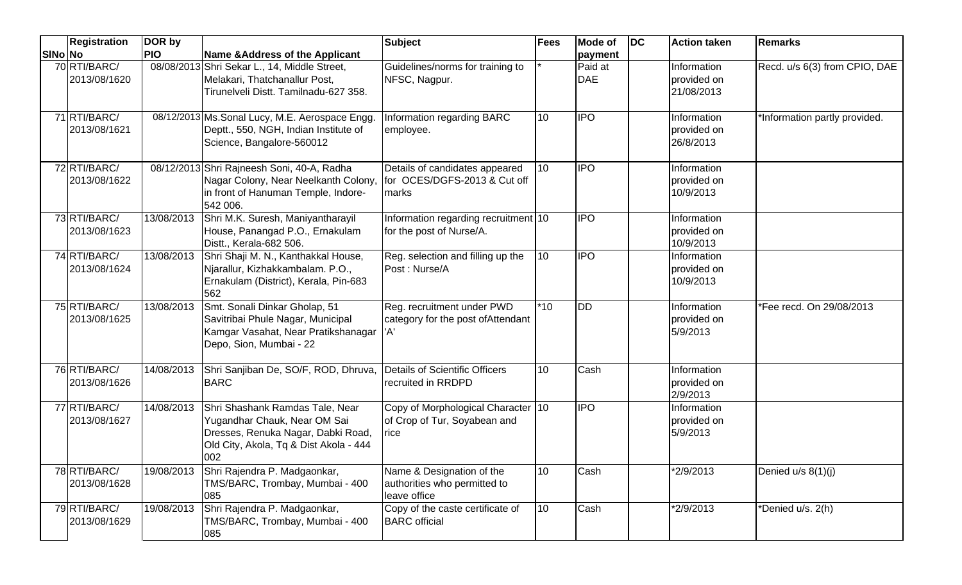|         | <b>Registration</b>          | DOR by     |                                                                                                                                                        | <b>Subject</b>                                                             | Fees         | <b>Mode of</b>        | $\overline{D}$ | <b>Action taken</b>                      | Remarks                       |
|---------|------------------------------|------------|--------------------------------------------------------------------------------------------------------------------------------------------------------|----------------------------------------------------------------------------|--------------|-----------------------|----------------|------------------------------------------|-------------------------------|
| SINo No |                              | <b>PIO</b> | Name & Address of the Applicant                                                                                                                        |                                                                            |              | payment               |                |                                          |                               |
|         | 70 RTI/BARC/<br>2013/08/1620 |            | 08/08/2013 Shri Sekar L., 14, Middle Street,<br>Melakari, Thatchanallur Post,<br>Tirunelveli Distt. Tamilnadu-627 358.                                 | Guidelines/norms for training to<br>NFSC, Nagpur.                          |              | Paid at<br><b>DAE</b> |                | Information<br>provided on<br>21/08/2013 | Recd. u/s 6(3) from CPIO, DAE |
|         | 71 RTI/BARC/<br>2013/08/1621 |            | 08/12/2013 Ms. Sonal Lucy, M.E. Aerospace Engg.<br>Deptt., 550, NGH, Indian Institute of<br>Science, Bangalore-560012                                  | Information regarding BARC<br>employee.                                    | 10           | <b>I</b> IPO          |                | Information<br>provided on<br>26/8/2013  | *Information partly provided. |
|         | 72 RTI/BARC/<br>2013/08/1622 |            | 08/12/2013 Shri Rajneesh Soni, 40-A, Radha<br>Nagar Colony, Near Neelkanth Colony,<br>in front of Hanuman Temple, Indore-<br>542 006.                  | Details of candidates appeared<br>for OCES/DGFS-2013 & Cut off<br>marks    | 10           | <b>I</b> IPO          |                | Information<br>provided on<br>10/9/2013  |                               |
|         | 73 RTI/BARC/<br>2013/08/1623 | 13/08/2013 | Shri M.K. Suresh, Maniyantharayil<br>House, Panangad P.O., Ernakulam<br>Distt., Kerala-682 506.                                                        | Information regarding recruitment 10<br>for the post of Nurse/A.           |              | <b>IPO</b>            |                | Information<br>provided on<br>10/9/2013  |                               |
|         | 74 RTI/BARC/<br>2013/08/1624 |            | 13/08/2013 Shri Shaji M. N., Kanthakkal House,<br>Njarallur, Kizhakkambalam. P.O.,<br>Ernakulam (District), Kerala, Pin-683<br>562                     | Reg. selection and filling up the<br>Post: Nurse/A                         | $ 10\rangle$ | <b>IPO</b>            |                | Information<br>provided on<br>10/9/2013  |                               |
|         | 75 RTI/BARC/<br>2013/08/1625 | 13/08/2013 | Smt. Sonali Dinkar Gholap, 51<br>Savitribai Phule Nagar, Municipal<br>Kamgar Vasahat, Near Pratikshanagar<br>Depo, Sion, Mumbai - 22                   | Reg. recruitment under PWD<br>category for the post of Attendant<br>'A'    | $*10$        | <b>DD</b>             |                | Information<br>provided on<br>5/9/2013   | *Fee recd. On 29/08/2013      |
|         | 76 RTI/BARC/<br>2013/08/1626 | 14/08/2013 | Shri Sanjiban De, SO/F, ROD, Dhruva,<br><b>BARC</b>                                                                                                    | <b>Details of Scientific Officers</b><br>recruited in RRDPD                | 10           | Cash                  |                | Information<br>provided on<br>2/9/2013   |                               |
|         | 77 RTI/BARC/<br>2013/08/1627 | 14/08/2013 | Shri Shashank Ramdas Tale, Near<br>Yugandhar Chauk, Near OM Sai<br>Dresses, Renuka Nagar, Dabki Road,<br>Old City, Akola, Tq & Dist Akola - 444<br>002 | Copy of Morphological Character 10<br>of Crop of Tur, Soyabean and<br>rice |              | <b>IPO</b>            |                | Information<br>provided on<br>5/9/2013   |                               |
|         | 78 RTI/BARC/<br>2013/08/1628 | 19/08/2013 | Shri Rajendra P. Madgaonkar,<br>TMS/BARC, Trombay, Mumbai - 400<br>085                                                                                 | Name & Designation of the<br>authorities who permitted to<br>leave office  | 10           | Cash                  |                | *2/9/2013                                | Denied u/s 8(1)(j)            |
|         | 79 RTI/BARC/<br>2013/08/1629 |            | 19/08/2013 Shri Rajendra P. Madgaonkar,<br>TMS/BARC, Trombay, Mumbai - 400<br>085                                                                      | Copy of the caste certificate of<br><b>BARC</b> official                   | 10           | Cash                  |                | *2/9/2013                                | *Denied u/s. 2(h)             |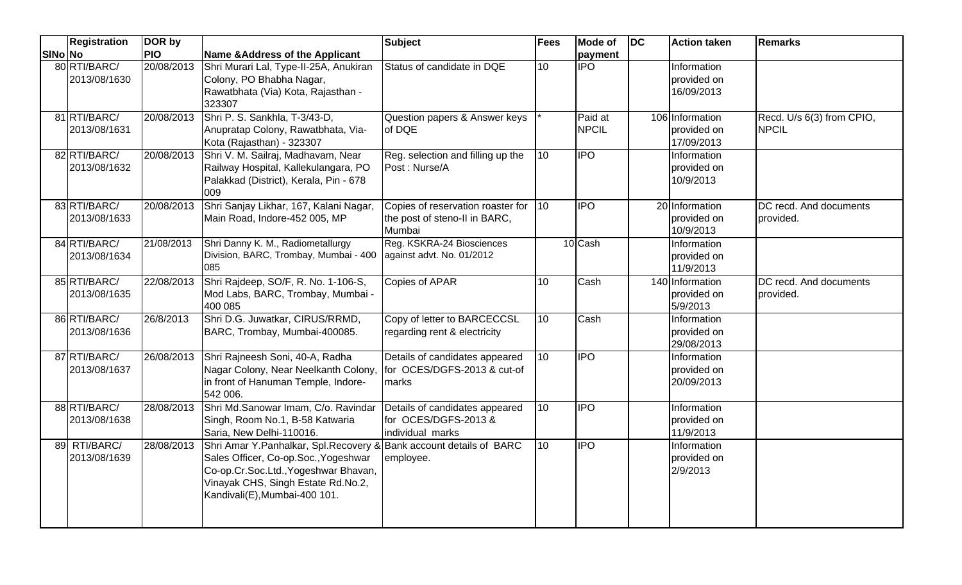|         | <b>Registration</b>          | DOR by     |                                                                                                                                                                                                                             | <b>Subject</b>                                                               | <b>Fees</b> | <b>Mode of</b>          | $\overline{DC}$ | Action taken                                   | <b>Remarks</b>                            |
|---------|------------------------------|------------|-----------------------------------------------------------------------------------------------------------------------------------------------------------------------------------------------------------------------------|------------------------------------------------------------------------------|-------------|-------------------------|-----------------|------------------------------------------------|-------------------------------------------|
| SINo No |                              | <b>PIO</b> | <b>Name &amp;Address of the Applicant</b>                                                                                                                                                                                   |                                                                              |             | payment                 |                 |                                                |                                           |
|         | 80 RTI/BARC/<br>2013/08/1630 | 20/08/2013 | Shri Murari Lal, Type-II-25A, Anukiran<br>Colony, PO Bhabha Nagar,<br>Rawatbhata (Via) Kota, Rajasthan -<br>323307                                                                                                          | Status of candidate in DQE                                                   | 10          | <b>IPO</b>              |                 | Information<br>provided on<br>16/09/2013       |                                           |
|         | 81 RTI/BARC/<br>2013/08/1631 | 20/08/2013 | Shri P. S. Sankhla, T-3/43-D,<br>Anupratap Colony, Rawatbhata, Via-<br>Kota (Rajasthan) - 323307                                                                                                                            | Question papers & Answer keys<br>of DQE                                      |             | Paid at<br><b>NPCIL</b> |                 | 106 Information<br>provided on<br>17/09/2013   | Recd. U/s 6(3) from CPIO,<br><b>NPCIL</b> |
|         | 82 RTI/BARC/<br>2013/08/1632 | 20/08/2013 | Shri V. M. Sailraj, Madhavam, Near<br>Railway Hospital, Kallekulangara, PO<br>Palakkad (District), Kerala, Pin - 678<br>009                                                                                                 | Reg. selection and filling up the<br>Post: Nurse/A                           | 10          | <b>IPO</b>              |                 | Information<br>provided on<br>10/9/2013        |                                           |
|         | 83 RTI/BARC/<br>2013/08/1633 | 20/08/2013 | Shri Sanjay Likhar, 167, Kalani Nagar,<br>Main Road, Indore-452 005, MP                                                                                                                                                     | Copies of reservation roaster for<br>the post of steno-II in BARC,<br>Mumbai | $\vert$ 10  | $\overline{1}$          |                 | 20 Information<br>provided on<br>10/9/2013     | DC recd. And documents<br>provided.       |
|         | 84 RTI/BARC/<br>2013/08/1634 | 21/08/2013 | Shri Danny K. M., Radiometallurgy<br>Division, BARC, Trombay, Mumbai - 400<br>085                                                                                                                                           | Reg. KSKRA-24 Biosciences<br>against advt. No. 01/2012                       |             | 10 Cash                 |                 | <b>Information</b><br>provided on<br>11/9/2013 |                                           |
|         | 85 RTI/BARC/<br>2013/08/1635 | 22/08/2013 | Shri Rajdeep, SO/F, R. No. 1-106-S,<br>Mod Labs, BARC, Trombay, Mumbai -<br>400 085                                                                                                                                         | Copies of APAR                                                               | 10          | Cash                    |                 | 140 Information<br>provided on<br>5/9/2013     | DC recd. And documents<br>provided.       |
|         | 86 RTI/BARC/<br>2013/08/1636 | 26/8/2013  | Shri D.G. Juwatkar, CIRUS/RRMD,<br>BARC, Trombay, Mumbai-400085.                                                                                                                                                            | Copy of letter to BARCECCSL<br>regarding rent & electricity                  | 10          | Cash                    |                 | Information<br>provided on<br>29/08/2013       |                                           |
|         | 87 RTI/BARC/<br>2013/08/1637 | 26/08/2013 | Shri Rajneesh Soni, 40-A, Radha<br>Nagar Colony, Near Neelkanth Colony,<br>in front of Hanuman Temple, Indore-<br>542 006.                                                                                                  | Details of candidates appeared<br>for OCES/DGFS-2013 & cut-of<br>marks       | 10          | $\overline{IPO}$        |                 | Information<br>provided on<br>20/09/2013       |                                           |
|         | 88 RTI/BARC/<br>2013/08/1638 | 28/08/2013 | Shri Md.Sanowar Imam, C/o. Ravindar<br>Singh, Room No.1, B-58 Katwaria<br>Saria, New Delhi-110016.                                                                                                                          | Details of candidates appeared<br>for OCES/DGFS-2013 &<br>individual marks   | 10          | $\overline{IPO}$        |                 | Information<br>provided on<br>11/9/2013        |                                           |
|         | 89 RTI/BARC/<br>2013/08/1639 | 28/08/2013 | Shri Amar Y. Panhalkar, Spl. Recovery & Bank account details of BARC<br>Sales Officer, Co-op.Soc., Yogeshwar<br>Co-op.Cr.Soc.Ltd., Yogeshwar Bhavan,<br>Vinayak CHS, Singh Estate Rd.No.2,<br>Kandivali(E), Mumbai-400 101. | employee.                                                                    | 10          | $\overline{1}$          |                 | Information<br>provided on<br>2/9/2013         |                                           |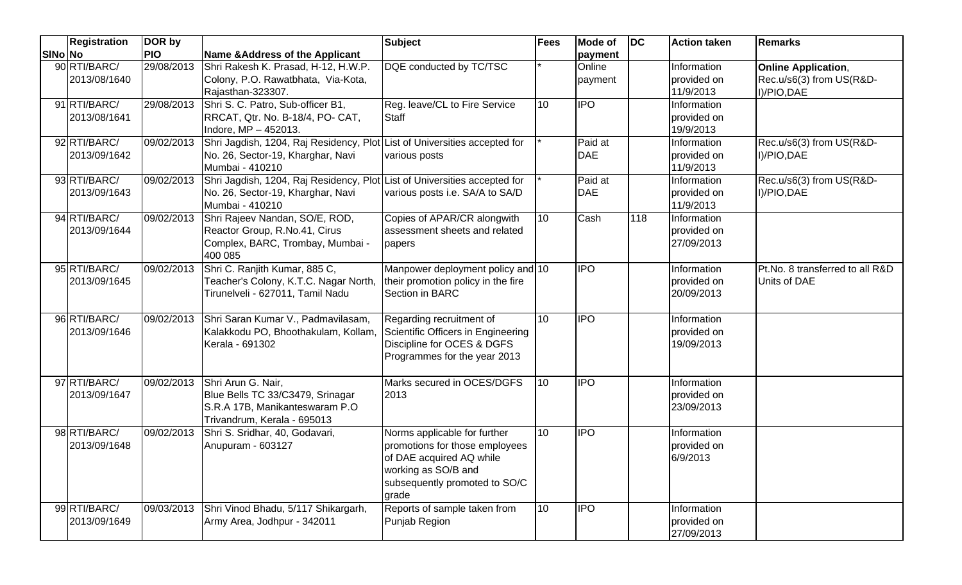|         | <b>Registration</b>          | DOR by     |                                                                                                                                   | <b>Subject</b>                                                                                                                                              | <b>Fees</b>     | <b>Mode of</b>        | $\overline{D}$ | <b>Action taken</b>                      | <b>Remarks</b>                                                        |
|---------|------------------------------|------------|-----------------------------------------------------------------------------------------------------------------------------------|-------------------------------------------------------------------------------------------------------------------------------------------------------------|-----------------|-----------------------|----------------|------------------------------------------|-----------------------------------------------------------------------|
| SINo No |                              | <b>PIO</b> | Name & Address of the Applicant                                                                                                   |                                                                                                                                                             |                 | payment               |                |                                          |                                                                       |
|         | 90 RTI/BARC/<br>2013/08/1640 | 29/08/2013 | Shri Rakesh K. Prasad, H-12, H.W.P.<br>Colony, P.O. Rawatbhata, Via-Kota,<br>Rajasthan-323307.                                    | DQE conducted by TC/TSC                                                                                                                                     |                 | Online<br>payment     |                | Information<br>provided on<br>11/9/2013  | <b>Online Application,</b><br>Rec.u/s6(3) from US(R&D-<br>I)/PIO, DAE |
|         | 91 RTI/BARC/<br>2013/08/1641 | 29/08/2013 | Shri S. C. Patro, Sub-officer B1,<br>RRCAT, Qtr. No. B-18/4, PO- CAT,<br>Indore, MP - 452013.                                     | Reg. leave/CL to Fire Service<br>Staff                                                                                                                      | 10              | <b>IPO</b>            |                | Information<br>provided on<br>19/9/2013  |                                                                       |
|         | 92 RTI/BARC/<br>2013/09/1642 | 09/02/2013 | Shri Jagdish, 1204, Raj Residency, Plot List of Universities accepted for<br>No. 26, Sector-19, Kharghar, Navi<br>Mumbai - 410210 | various posts                                                                                                                                               |                 | Paid at<br><b>DAE</b> |                | Information<br>provided on<br>11/9/2013  | Rec.u/s6(3) from US(R&D-<br>I)/PIO, DAE                               |
|         | 93 RTI/BARC/<br>2013/09/1643 | 09/02/2013 | Shri Jagdish, 1204, Raj Residency, Plot List of Universities accepted for<br>No. 26, Sector-19, Kharghar, Navi<br>Mumbai - 410210 | various posts i.e. SA/A to SA/D                                                                                                                             |                 | Paid at<br><b>DAE</b> |                | Information<br>provided on<br>11/9/2013  | Rec.u/s6(3) from US(R&D-<br>I)/PIO, DAE                               |
|         | 94 RTI/BARC/<br>2013/09/1644 | 09/02/2013 | Shri Rajeev Nandan, SO/E, ROD,<br>Reactor Group, R.No.41, Cirus<br>Complex, BARC, Trombay, Mumbai -<br>400 085                    | Copies of APAR/CR alongwith<br>assessment sheets and related<br>papers                                                                                      | 10              | Cash                  | 118            | Information<br>provided on<br>27/09/2013 |                                                                       |
|         | 95 RTI/BARC/<br>2013/09/1645 | 09/02/2013 | Shri C. Ranjith Kumar, 885 C,<br>Teacher's Colony, K.T.C. Nagar North,<br>Tirunelveli - 627011, Tamil Nadu                        | Manpower deployment policy and 10<br>their promotion policy in the fire<br>Section in BARC                                                                  |                 | <b>IPO</b>            |                | Information<br>provided on<br>20/09/2013 | Pt.No. 8 transferred to all R&D<br>Units of DAE                       |
|         | 96 RTI/BARC/<br>2013/09/1646 | 09/02/2013 | Shri Saran Kumar V., Padmavilasam,<br>Kalakkodu PO, Bhoothakulam, Kollam,<br>Kerala - 691302                                      | Regarding recruitment of<br>Scientific Officers in Engineering<br>Discipline for OCES & DGFS<br>Programmes for the year 2013                                | 10              | <b>IPO</b>            |                | Information<br>provided on<br>19/09/2013 |                                                                       |
|         | 97 RTI/BARC/<br>2013/09/1647 | 09/02/2013 | Shri Arun G. Nair,<br>Blue Bells TC 33/C3479, Srinagar<br>S.R.A 17B, Manikanteswaram P.O<br>Trivandrum, Kerala - 695013           | Marks secured in OCES/DGFS<br>2013                                                                                                                          | $\overline{10}$ | <b>IPO</b>            |                | Information<br>provided on<br>23/09/2013 |                                                                       |
|         | 98 RTI/BARC/<br>2013/09/1648 | 09/02/2013 | Shri S. Sridhar, 40, Godavari,<br>Anupuram - 603127                                                                               | Norms applicable for further<br>promotions for those employees<br>of DAE acquired AQ while<br>working as SO/B and<br>subsequently promoted to SO/C<br>grade | 10              | <b>IPO</b>            |                | Information<br>provided on<br>6/9/2013   |                                                                       |
|         | 99 RTI/BARC/<br>2013/09/1649 |            | 09/03/2013 Shri Vinod Bhadu, 5/117 Shikargarh,<br>Army Area, Jodhpur - 342011                                                     | Reports of sample taken from<br>Punjab Region                                                                                                               | 10              | <b>IPO</b>            |                | Information<br>provided on<br>27/09/2013 |                                                                       |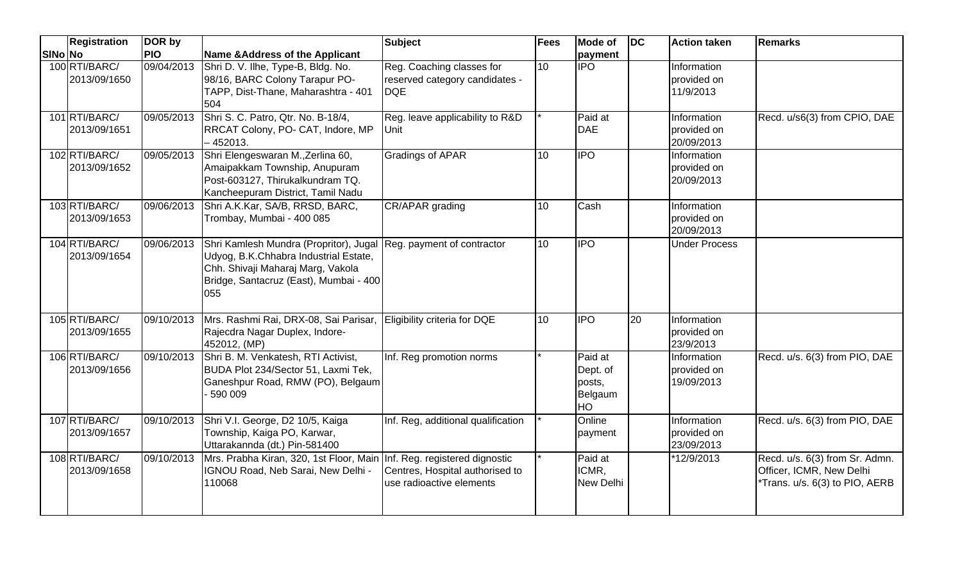|         | <b>Registration</b>           | DOR by     |                                                                                                                                                                       | <b>Subject</b>                                                            | <b>Fees</b> | <b>Mode of</b>                                 | <b>IDC</b>      | <b>Action taken</b>                      | <b>Remarks</b>                                                                              |
|---------|-------------------------------|------------|-----------------------------------------------------------------------------------------------------------------------------------------------------------------------|---------------------------------------------------------------------------|-------------|------------------------------------------------|-----------------|------------------------------------------|---------------------------------------------------------------------------------------------|
| SINo No |                               | <b>PIO</b> | Name & Address of the Applicant                                                                                                                                       |                                                                           |             | payment                                        |                 |                                          |                                                                                             |
|         | 100 RTI/BARC/<br>2013/09/1650 | 09/04/2013 | Shri D. V. Ilhe, Type-B, Bldg. No.<br>98/16, BARC Colony Tarapur PO-<br>TAPP, Dist-Thane, Maharashtra - 401<br>504                                                    | Reg. Coaching classes for<br>reserved category candidates -<br><b>DQE</b> | 10          | $\overline{IPO}$                               |                 | Information<br>provided on<br>11/9/2013  |                                                                                             |
|         | 101 RTI/BARC/<br>2013/09/1651 |            | 09/05/2013 Shri S. C. Patro, Qtr. No. B-18/4,<br>RRCAT Colony, PO- CAT, Indore, MP<br>-452013.                                                                        | Reg. leave applicability to R&D<br>Unit                                   |             | Paid at<br><b>DAE</b>                          |                 | Information<br>provided on<br>20/09/2013 | Recd. u/s6(3) from CPIO, DAE                                                                |
|         | 102 RTI/BARC/<br>2013/09/1652 |            | 09/05/2013 Shri Elengeswaran M., Zerlina 60,<br>Amaipakkam Township, Anupuram<br>Post-603127, Thirukalkundram TQ.<br>Kancheepuram District, Tamil Nadu                | <b>Gradings of APAR</b>                                                   | 10          | <b>IPO</b>                                     |                 | Information<br>provided on<br>20/09/2013 |                                                                                             |
|         | 103 RTI/BARC/<br>2013/09/1653 | 09/06/2013 | Shri A.K.Kar, SA/B, RRSD, BARC,<br>Trombay, Mumbai - 400 085                                                                                                          | CR/APAR grading                                                           | 10          | Cash                                           |                 | Information<br>provided on<br>20/09/2013 |                                                                                             |
|         | 104 RTI/BARC/<br>2013/09/1654 | 09/06/2013 | Shri Kamlesh Mundra (Propritor), Jugal<br>Udyog, B.K.Chhabra Industrial Estate,<br>Chh. Shivaji Maharaj Marg, Vakola<br>Bridge, Santacruz (East), Mumbai - 400<br>055 | Reg. payment of contractor                                                | 10          | $\overline{IPO}$                               |                 | <b>Under Process</b>                     |                                                                                             |
|         | 105 RTI/BARC/<br>2013/09/1655 | 09/10/2013 | Mrs. Rashmi Rai, DRX-08, Sai Parisar,<br>Rajecdra Nagar Duplex, Indore-<br>452012, (MP)                                                                               | Eligibility criteria for DQE                                              | 10          | $\overline{1}$                                 | $\overline{20}$ | Information<br>provided on<br>23/9/2013  |                                                                                             |
|         | 106 RTI/BARC/<br>2013/09/1656 | 09/10/2013 | Shri B. M. Venkatesh, RTI Activist,<br>BUDA Plot 234/Sector 51, Laxmi Tek,<br>Ganeshpur Road, RMW (PO), Belgaum<br>590 009                                            | Inf. Reg promotion norms                                                  |             | Paid at<br>Dept. of<br>posts,<br>Belgaum<br>HO |                 | Information<br>provided on<br>19/09/2013 | Recd. u/s. 6(3) from PIO, DAE                                                               |
|         | 107 RTI/BARC/<br>2013/09/1657 |            | 09/10/2013 Shri V.I. George, D2 10/5, Kaiga<br>Township, Kaiga PO, Karwar,<br>Uttarakannda (dt.) Pin-581400                                                           | Inf. Reg, additional qualification                                        |             | Online<br>payment                              |                 | Information<br>provided on<br>23/09/2013 | Recd. u/s. 6(3) from PIO, DAE                                                               |
|         | 108 RTI/BARC/<br>2013/09/1658 | 09/10/2013 | Mrs. Prabha Kiran, 320, 1st Floor, Main Inf. Reg. registered dignostic<br>IGNOU Road, Neb Sarai, New Delhi -<br>110068                                                | Centres, Hospital authorised to<br>use radioactive elements               |             | Paid at<br>ICMR,<br><b>New Delhi</b>           |                 | *12/9/2013                               | Recd. u/s. 6(3) from Sr. Admn.<br>Officer, ICMR, New Delhi<br>Trans. u/s. 6(3) to PIO, AERB |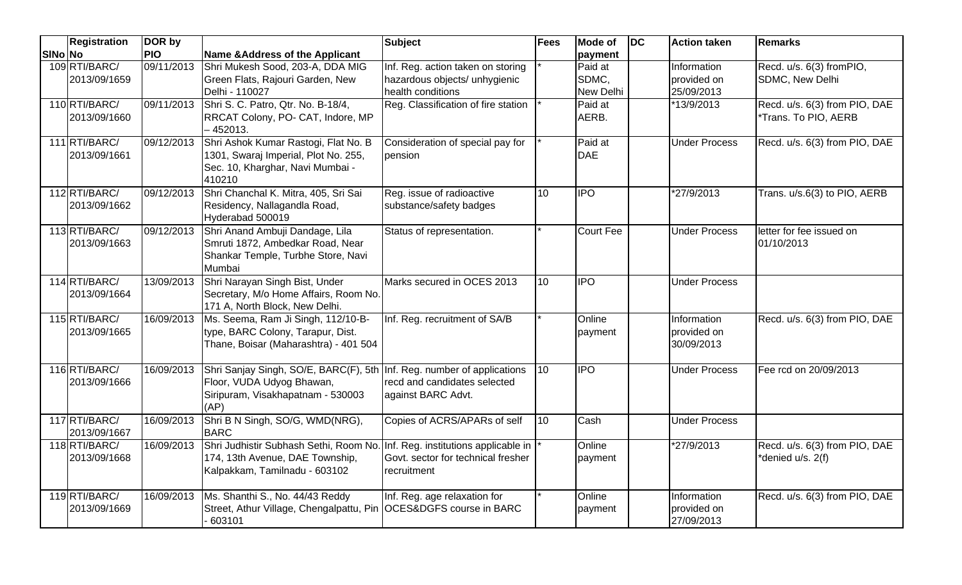|         | <b>Registration</b>           | DOR by     |                                                                                                                                                  | Subject                                                                                   | <b>Fees</b>     | Mode of                       | DC | <b>Action taken</b>                      | <b>Remarks</b>                                        |
|---------|-------------------------------|------------|--------------------------------------------------------------------------------------------------------------------------------------------------|-------------------------------------------------------------------------------------------|-----------------|-------------------------------|----|------------------------------------------|-------------------------------------------------------|
| SINo No |                               | <b>PIO</b> | <b>Name &amp;Address of the Applicant</b>                                                                                                        |                                                                                           |                 | payment                       |    |                                          |                                                       |
|         | 109 RTI/BARC/<br>2013/09/1659 | 09/11/2013 | Shri Mukesh Sood, 203-A, DDA MIG<br>Green Flats, Rajouri Garden, New<br>Delhi - 110027                                                           | Inf. Reg. action taken on storing<br>hazardous objects/ unhygienic<br>health conditions   |                 | Paid at<br>SDMC,<br>New Delhi |    | Information<br>provided on<br>25/09/2013 | Recd. u/s. 6(3) fromPIO,<br>SDMC, New Delhi           |
|         | 110 RTI/BARC/<br>2013/09/1660 | 09/11/2013 | Shri S. C. Patro, Qtr. No. B-18/4,<br>RRCAT Colony, PO- CAT, Indore, MP<br>$-452013.$                                                            | Reg. Classification of fire station                                                       |                 | Paid at<br>AERB.              |    | *13/9/2013                               | Recd. u/s. 6(3) from PIO, DAE<br>*Trans. To PIO, AERB |
|         | 111 RTI/BARC/<br>2013/09/1661 | 09/12/2013 | Shri Ashok Kumar Rastogi, Flat No. B<br>1301, Swaraj Imperial, Plot No. 255,<br>Sec. 10, Kharghar, Navi Mumbai -<br>410210                       | Consideration of special pay for<br>pension                                               |                 | Paid at<br><b>DAE</b>         |    | <b>Under Process</b>                     | Recd. u/s. 6(3) from PIO, DAE                         |
|         | 112 RTI/BARC/<br>2013/09/1662 | 09/12/2013 | Shri Chanchal K. Mitra, 405, Sri Sai<br>Residency, Nallagandla Road,<br>Hyderabad 500019                                                         | Reg. issue of radioactive<br>substance/safety badges                                      | $\overline{10}$ | <b>IPO</b>                    |    | *27/9/2013                               | Trans. u/s.6(3) to PIO, AERB                          |
|         | 113 RTI/BARC/<br>2013/09/1663 | 09/12/2013 | Shri Anand Ambuji Dandage, Lila<br>Smruti 1872, Ambedkar Road, Near<br>Shankar Temple, Turbhe Store, Navi<br>Mumbai                              | Status of representation.                                                                 |                 | <b>Court Fee</b>              |    | <b>Under Process</b>                     | letter for fee issued on<br>01/10/2013                |
|         | 114 RTI/BARC/<br>2013/09/1664 | 13/09/2013 | Shri Narayan Singh Bist, Under<br>Secretary, M/o Home Affairs, Room No.<br>171 A, North Block, New Delhi.                                        | Marks secured in OCES 2013                                                                | 10              | <b>IPO</b>                    |    | <b>Under Process</b>                     |                                                       |
|         | 115 RTI/BARC/<br>2013/09/1665 | 16/09/2013 | Ms. Seema, Ram Ji Singh, 112/10-B-<br>type, BARC Colony, Tarapur, Dist.<br>Thane, Boisar (Maharashtra) - 401 504                                 | Inf. Reg. recruitment of SA/B                                                             |                 | Online<br>payment             |    | Information<br>provided on<br>30/09/2013 | Recd. u/s. 6(3) from PIO, DAE                         |
|         | 116 RTI/BARC/<br>2013/09/1666 | 16/09/2013 | Shri Sanjay Singh, SO/E, BARC(F), 5th Inf. Reg. number of applications<br>Floor, VUDA Udyog Bhawan,<br>Siripuram, Visakhapatnam - 530003<br>(AP) | recd and candidates selected<br>against BARC Advt.                                        | 10              | <b>IPO</b>                    |    | <b>Under Process</b>                     | Fee rcd on 20/09/2013                                 |
|         | 117 RTI/BARC/<br>2013/09/1667 | 16/09/2013 | Shri B N Singh, SO/G, WMD(NRG),<br><b>BARC</b>                                                                                                   | Copies of ACRS/APARs of self                                                              | 10              | Cash                          |    | <b>Under Process</b>                     |                                                       |
|         | 118RTI/BARC/<br>2013/09/1668  | 16/09/2013 | Shri Judhistir Subhash Sethi, Room No.<br>174, 13th Avenue, DAE Township,<br>Kalpakkam, Tamilnadu - 603102                                       | Inf. Reg. institutions applicable in<br>Govt. sector for technical fresher<br>recruitment |                 | Online<br>payment             |    | *27/9/2013                               | Recd. u/s. 6(3) from PIO, DAE<br>*denied u/s. 2(f)    |
|         | 119RTI/BARC/<br>2013/09/1669  | 16/09/2013 | Ms. Shanthi S., No. 44/43 Reddy<br>Street, Athur Village, Chengalpattu, Pin   OCES&DGFS course in BARC<br>603101                                 | Inf. Reg. age relaxation for                                                              |                 | Online<br>payment             |    | Information<br>provided on<br>27/09/2013 | Recd. u/s. 6(3) from PIO, DAE                         |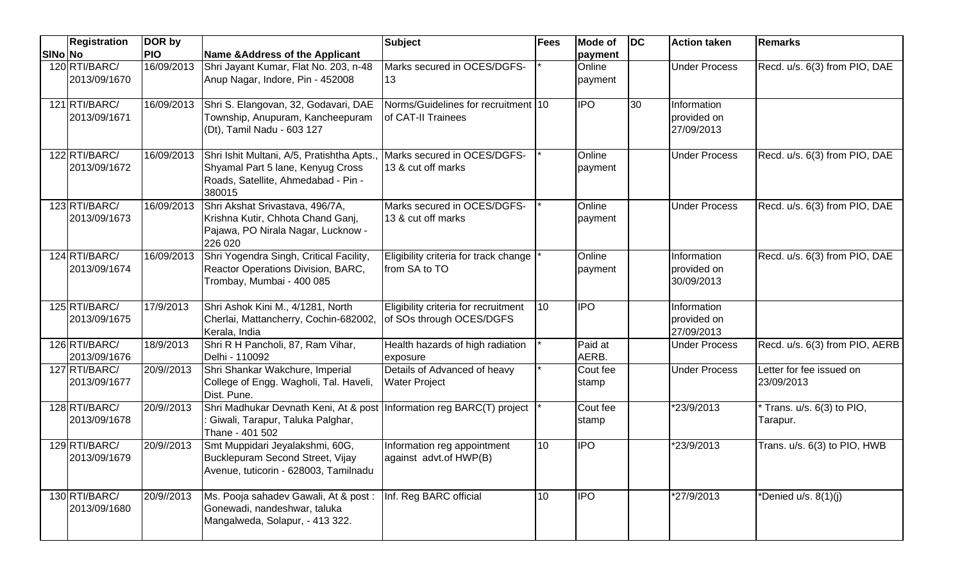|         | Registration                  | DOR by     |                                                                                                                                 | <b>Subject</b>                                                   | Fees         | <b>Mode of</b>    | <b>DC</b> | <b>Action taken</b>                      | <b>Remarks</b>                         |
|---------|-------------------------------|------------|---------------------------------------------------------------------------------------------------------------------------------|------------------------------------------------------------------|--------------|-------------------|-----------|------------------------------------------|----------------------------------------|
| SINo No |                               | <b>PIO</b> | Name & Address of the Applicant                                                                                                 |                                                                  |              | payment           |           |                                          |                                        |
|         | 120 RTI/BARC/<br>2013/09/1670 | 16/09/2013 | Shri Jayant Kumar, Flat No. 203, n-48<br>Anup Nagar, Indore, Pin - 452008                                                       | Marks secured in OCES/DGFS-<br>13                                |              | Online<br>payment |           | <b>Under Process</b>                     | Recd. u/s. 6(3) from PIO, DAE          |
|         | 121 RTI/BARC/<br>2013/09/1671 | 16/09/2013 | Shri S. Elangovan, 32, Godavari, DAE<br>Township, Anupuram, Kancheepuram<br>(Dt), Tamil Nadu - 603 127                          | Norms/Guidelines for recruitment 10<br>of CAT-II Trainees        |              | <b>IPO</b>        | 30        | Information<br>provided on<br>27/09/2013 |                                        |
|         | 122 RTI/BARC/<br>2013/09/1672 | 16/09/2013 | Shri Ishit Multani, A/5, Pratishtha Apts.<br>Shyamal Part 5 lane, Kenyug Cross<br>Roads, Satellite, Ahmedabad - Pin -<br>380015 | Marks secured in OCES/DGFS-<br>13 & cut off marks                |              | Online<br>payment |           | <b>Under Process</b>                     | Recd. u/s. 6(3) from PIO, DAE          |
|         | 123 RTI/BARC/<br>2013/09/1673 | 16/09/2013 | Shri Akshat Srivastava, 496/7A,<br>Krishna Kutir, Chhota Chand Ganj,<br>Pajawa, PO Nirala Nagar, Lucknow -<br>226 020           | Marks secured in OCES/DGFS-<br>13 & cut off marks                |              | Online<br>payment |           | <b>Under Process</b>                     | Recd. u/s. 6(3) from PIO, DAE          |
|         | 124 RTI/BARC/<br>2013/09/1674 | 16/09/2013 | Shri Yogendra Singh, Critical Facility,<br>Reactor Operations Division, BARC,<br>Trombay, Mumbai - 400 085                      | Eligibility criteria for track change<br>from SA to TO           |              | Online<br>payment |           | Information<br>provided on<br>30/09/2013 | Recd. u/s. 6(3) from PIO, DAE          |
|         | 125 RTI/BARC/<br>2013/09/1675 | 17/9/2013  | Shri Ashok Kini M., 4/1281, North<br>Cherlai, Mattancherry, Cochin-682002,<br>Kerala, India                                     | Eligibility criteria for recruitment<br>of SOs through OCES/DGFS | $ 10\rangle$ | <b>IPO</b>        |           | Information<br>provided on<br>27/09/2013 |                                        |
|         | 126 RTI/BARC/<br>2013/09/1676 | 18/9/2013  | Shri R H Pancholi, 87, Ram Vihar,<br>Delhi - 110092                                                                             | Health hazards of high radiation<br>exposure                     |              | Paid at<br>AERB.  |           | <b>Under Process</b>                     | Recd. u/s. 6(3) from PIO, AERB         |
|         | 127 RTI/BARC/<br>2013/09/1677 | 20/9//2013 | Shri Shankar Wakchure, Imperial<br>College of Engg. Wagholi, Tal. Haveli,<br>Dist. Pune.                                        | Details of Advanced of heavy<br><b>Water Project</b>             |              | Cout fee<br>stamp |           | <b>Under Process</b>                     | Letter for fee issued on<br>23/09/2013 |
|         | 128 RTI/BARC/<br>2013/09/1678 | 20/9//2013 | Shri Madhukar Devnath Keni, At & post Information reg BARC(T) project<br>Giwali, Tarapur, Taluka Palghar,<br>Thane - 401 502    |                                                                  |              | Cout fee<br>stamp |           | *23/9/2013                               | Trans. u/s. 6(3) to PIO,<br>Tarapur.   |
|         | 129RTI/BARC/<br>2013/09/1679  | 20/9//2013 | Smt Muppidari Jeyalakshmi, 60G,<br>Bucklepuram Second Street, Vijay<br>Avenue, tuticorin - 628003, Tamilnadu                    | Information reg appointment<br>against advt.of HWP(B)            | 10           | <b>IPO</b>        |           | *23/9/2013                               | Trans. u/s. 6(3) to PIO, HWB           |
|         | 130 RTI/BARC/<br>2013/09/1680 | 20/9//2013 | Ms. Pooja sahadev Gawali, At & post :<br>Gonewadi, nandeshwar, taluka<br>Mangalweda, Solapur, - 413 322.                        | Inf. Reg BARC official                                           | 10           | <b>IPO</b>        |           | *27/9/2013                               | *Denied $u/s. 8(1)(j)$                 |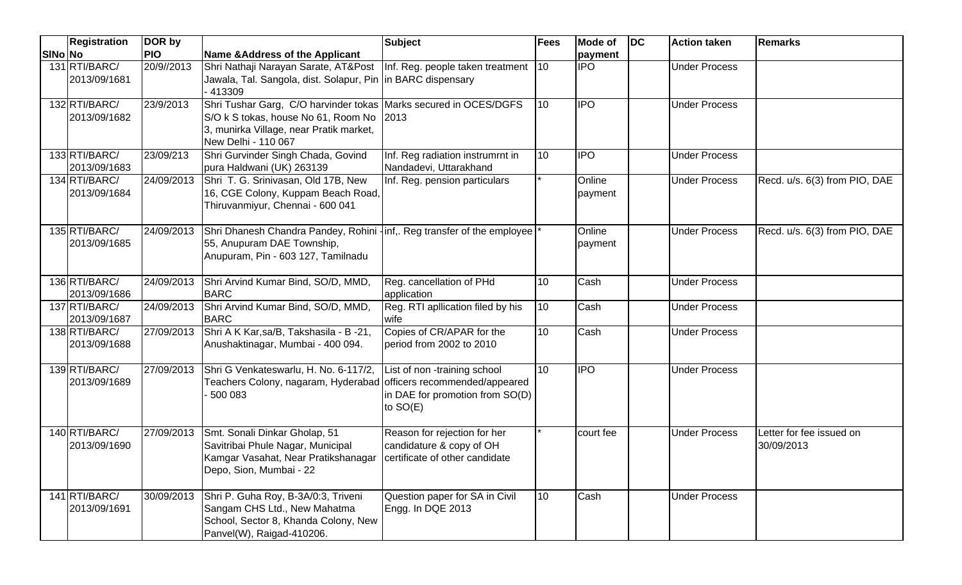|         | <b>Registration</b>           | DOR by     |                                                                                                                                                                                | <b>Subject</b>                                                                             | <b>Fees</b> | <b>Mode of</b>    | <b>DC</b> | <b>Action taken</b>  | <b>Remarks</b>                         |
|---------|-------------------------------|------------|--------------------------------------------------------------------------------------------------------------------------------------------------------------------------------|--------------------------------------------------------------------------------------------|-------------|-------------------|-----------|----------------------|----------------------------------------|
| SINo No |                               | <b>PIO</b> | <b>Name &amp; Address of the Applicant</b>                                                                                                                                     |                                                                                            |             | payment           |           |                      |                                        |
|         | 131 RTI/BARC/<br>2013/09/1681 | 20/9//2013 | Shri Nathaji Narayan Sarate, AT&Post<br>Jawala, Tal. Sangola, dist. Solapur, Pin  in BARC dispensary<br>413309                                                                 | Inf. Reg. people taken treatment 10                                                        |             | <b>IPO</b>        |           | <b>Under Process</b> |                                        |
|         | 132 RTI/BARC/<br>2013/09/1682 | 23/9/2013  | Shri Tushar Garg, C/O harvinder tokas Marks secured in OCES/DGFS<br>S/O k S tokas, house No 61, Room No 2013<br>3, munirka Village, near Pratik market,<br>New Delhi - 110 067 |                                                                                            | 10          | <b>IPO</b>        |           | <b>Under Process</b> |                                        |
|         | 133 RTI/BARC/<br>2013/09/1683 | 23/09/213  | Shri Gurvinder Singh Chada, Govind<br>pura Haldwani (UK) 263139                                                                                                                | Inf. Reg radiation instrumrnt in<br>Nandadevi, Uttarakhand                                 | 10          | <b>IPO</b>        |           | <b>Under Process</b> |                                        |
|         | 134 RTI/BARC/<br>2013/09/1684 | 24/09/2013 | Shri T. G. Srinivasan, Old 17B, New<br>16, CGE Colony, Kuppam Beach Road,<br>Thiruvanmiyur, Chennai - 600 041                                                                  | Inf. Reg. pension particulars                                                              |             | Online<br>payment |           | <b>Under Process</b> | Recd. u/s. 6(3) from PIO, DAE          |
|         | 135 RTI/BARC/<br>2013/09/1685 | 24/09/2013 | Shri Dhanesh Chandra Pandey, Rohini -inf,. Reg transfer of the employee<br>55, Anupuram DAE Township,<br>Anupuram, Pin - 603 127, Tamilnadu                                    |                                                                                            |             | Online<br>payment |           | <b>Under Process</b> | Recd. u/s. 6(3) from PIO, DAE          |
|         | 136 RTI/BARC/<br>2013/09/1686 | 24/09/2013 | Shri Arvind Kumar Bind, SO/D, MMD,<br><b>BARC</b>                                                                                                                              | Reg. cancellation of PHd<br>application                                                    | 10          | Cash              |           | <b>Under Process</b> |                                        |
|         | 137 RTI/BARC/<br>2013/09/1687 | 24/09/2013 | Shri Arvind Kumar Bind, SO/D, MMD,<br><b>BARC</b>                                                                                                                              | Reg. RTI apllication filed by his<br>wife                                                  | 10          | Cash              |           | <b>Under Process</b> |                                        |
|         | 138 RTI/BARC/<br>2013/09/1688 | 27/09/2013 | Shri A K Kar, sa/B, Takshasila - B -21,<br>Anushaktinagar, Mumbai - 400 094.                                                                                                   | Copies of CR/APAR for the<br>period from 2002 to 2010                                      | 10          | Cash              |           | <b>Under Process</b> |                                        |
|         | 139 RTI/BARC/<br>2013/09/1689 | 27/09/2013 | Shri G Venkateswarlu, H. No. 6-117/2,<br>Teachers Colony, nagaram, Hyderabad officers recommended/appeared<br>500 083                                                          | List of non -training school<br>in DAE for promotion from SO(D)<br>to $SO(E)$              | 110         | <b>IPO</b>        |           | <b>Under Process</b> |                                        |
|         | 140 RTI/BARC/<br>2013/09/1690 | 27/09/2013 | Smt. Sonali Dinkar Gholap, 51<br>Savitribai Phule Nagar, Municipal<br>Kamgar Vasahat, Near Pratikshanagar<br>Depo, Sion, Mumbai - 22                                           | Reason for rejection for her<br>candidature & copy of OH<br>certificate of other candidate |             | court fee         |           | <b>Under Process</b> | Letter for fee issued on<br>30/09/2013 |
|         | 141 RTI/BARC/<br>2013/09/1691 | 30/09/2013 | Shri P. Guha Roy, B-3A/0:3, Triveni<br>Sangam CHS Ltd., New Mahatma<br>School, Sector 8, Khanda Colony, New<br>Panvel(W), Raigad-410206.                                       | Question paper for SA in Civil<br>Engg. In DQE 2013                                        | 10          | Cash              |           | <b>Under Process</b> |                                        |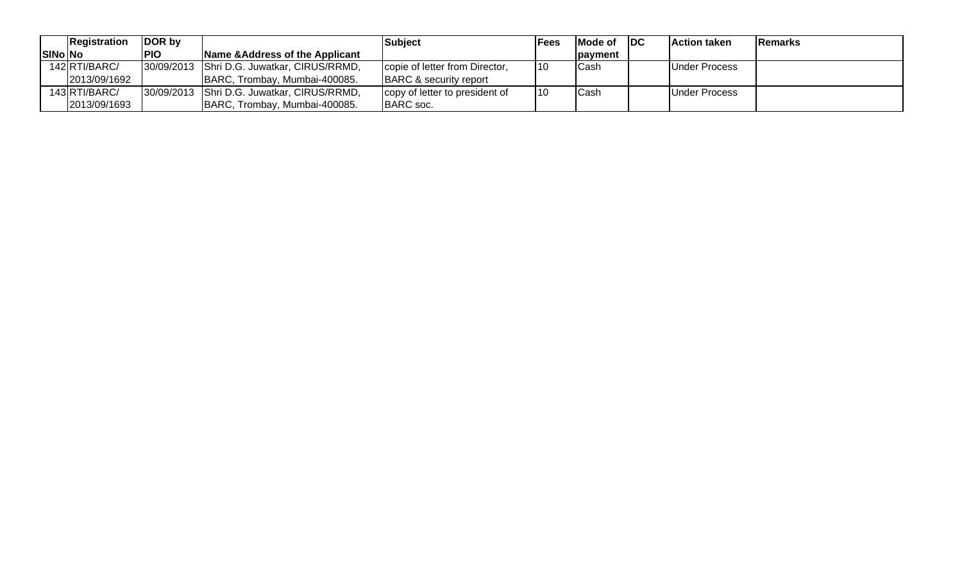| Registration    | DOR by     |                                            | <b>Subject</b>                 | Fees | <b>IMode of</b> | <b>IDC</b> | <b>Action taken</b>  | <b>Remarks</b> |
|-----------------|------------|--------------------------------------------|--------------------------------|------|-----------------|------------|----------------------|----------------|
| <b>ISINO NO</b> | <b>PIO</b> | Name & Address of the Applicant            |                                |      | Ipavment        |            |                      |                |
| 142 RTI/BARC/   |            | 30/09/2013 Shri D.G. Juwatkar, CIRUS/RRMD, | copie of letter from Director, | 10   | Cash            |            | <b>Under Process</b> |                |
| 2013/09/1692    |            | BARC, Trombay, Mumbai-400085.              | BARC & security report         |      |                 |            |                      |                |
| 143 RTI/BARC/   |            | 30/09/2013 Shri D.G. Juwatkar, CIRUS/RRMD, | copy of letter to president of | 110  | Cash            |            | Under Process        |                |
| 2013/09/1693    |            | BARC, Trombay, Mumbai-400085.              | BARC soc.                      |      |                 |            |                      |                |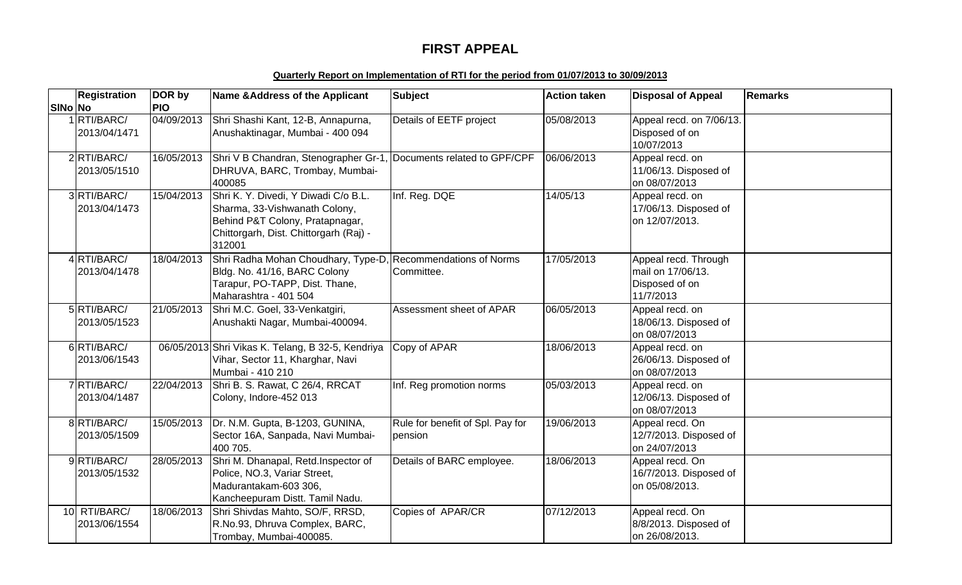# **FIRST APPEAL**

### **Quarterly Report on Implementation of RTI for the period from 01/07/2013 to 30/09/2013**

|         | <b>Registration</b>          | DOR by     | Name & Address of the Applicant                                                                                                                              | <b>Subject</b>                              | <b>Action taken</b> | <b>Disposal of Appeal</b>                                                | <b>Remarks</b> |
|---------|------------------------------|------------|--------------------------------------------------------------------------------------------------------------------------------------------------------------|---------------------------------------------|---------------------|--------------------------------------------------------------------------|----------------|
| SINo No |                              | <b>PIO</b> |                                                                                                                                                              |                                             |                     |                                                                          |                |
|         | 1 RTI/BARC/<br>2013/04/1471  | 04/09/2013 | Shri Shashi Kant, 12-B, Annapurna,<br>Anushaktinagar, Mumbai - 400 094                                                                                       | Details of EETF project                     | 05/08/2013          | Appeal recd. on 7/06/13.<br>Disposed of on<br>10/07/2013                 |                |
|         | 2RTI/BARC/<br>2013/05/1510   | 16/05/2013 | Shri V B Chandran, Stenographer Gr-1, Documents related to GPF/CPF<br>DHRUVA, BARC, Trombay, Mumbai-<br>400085                                               |                                             | 06/06/2013          | Appeal recd. on<br>11/06/13. Disposed of<br>on 08/07/2013                |                |
|         | 3RTI/BARC/<br>2013/04/1473   | 15/04/2013 | Shri K. Y. Divedi, Y Diwadi C/o B.L.<br>Sharma, 33-Vishwanath Colony,<br>Behind P&T Colony, Pratapnagar,<br>Chittorgarh, Dist. Chittorgarh (Raj) -<br>312001 | Inf. Reg. DQE                               | 14/05/13            | Appeal recd. on<br>17/06/13. Disposed of<br>on 12/07/2013.               |                |
|         | 4RTI/BARC/<br>2013/04/1478   | 18/04/2013 | Shri Radha Mohan Choudhary, Type-D,<br>Bldg. No. 41/16, BARC Colony<br>Tarapur, PO-TAPP, Dist. Thane,<br>Maharashtra - 401 504                               | Recommendations of Norms<br>Committee.      | 17/05/2013          | Appeal recd. Through<br>mail on 17/06/13.<br>Disposed of on<br>11/7/2013 |                |
|         | 5 RTI/BARC/<br>2013/05/1523  | 21/05/2013 | Shri M.C. Goel, 33-Venkatgiri,<br>Anushakti Nagar, Mumbai-400094.                                                                                            | Assessment sheet of APAR                    | 06/05/2013          | Appeal recd. on<br>18/06/13. Disposed of<br>on 08/07/2013                |                |
|         | 6RTI/BARC/<br>2013/06/1543   |            | 06/05/2013 Shri Vikas K. Telang, B 32-5, Kendriya<br>Vihar, Sector 11, Kharghar, Navi<br>Mumbai - 410 210                                                    | Copy of APAR                                | 18/06/2013          | Appeal recd. on<br>26/06/13. Disposed of<br>on 08/07/2013                |                |
|         | 7RTI/BARC/<br>2013/04/1487   | 22/04/2013 | Shri B. S. Rawat, C 26/4, RRCAT<br>Colony, Indore-452 013                                                                                                    | Inf. Reg promotion norms                    | 05/03/2013          | Appeal recd. on<br>12/06/13. Disposed of<br>on 08/07/2013                |                |
|         | 8 RTI/BARC/<br>2013/05/1509  | 15/05/2013 | Dr. N.M. Gupta, B-1203, GUNINA,<br>Sector 16A, Sanpada, Navi Mumbai-<br>400 705.                                                                             | Rule for benefit of Spl. Pay for<br>pension | 19/06/2013          | Appeal recd. On<br>12/7/2013. Disposed of<br>on 24/07/2013               |                |
|         | 9RTI/BARC/<br>2013/05/1532   | 28/05/2013 | Shri M. Dhanapal, Retd.Inspector of<br>Police, NO.3, Variar Street,<br>Madurantakam-603 306,<br>Kancheepuram Distt. Tamil Nadu.                              | Details of BARC employee.                   | 18/06/2013          | Appeal recd. On<br>16/7/2013. Disposed of<br>on 05/08/2013.              |                |
|         | 10 RTI/BARC/<br>2013/06/1554 | 18/06/2013 | Shri Shivdas Mahto, SO/F, RRSD,<br>R.No.93, Dhruva Complex, BARC,<br>Trombay, Mumbai-400085.                                                                 | Copies of APAR/CR                           | 07/12/2013          | Appeal recd. On<br>8/8/2013. Disposed of<br>on 26/08/2013.               |                |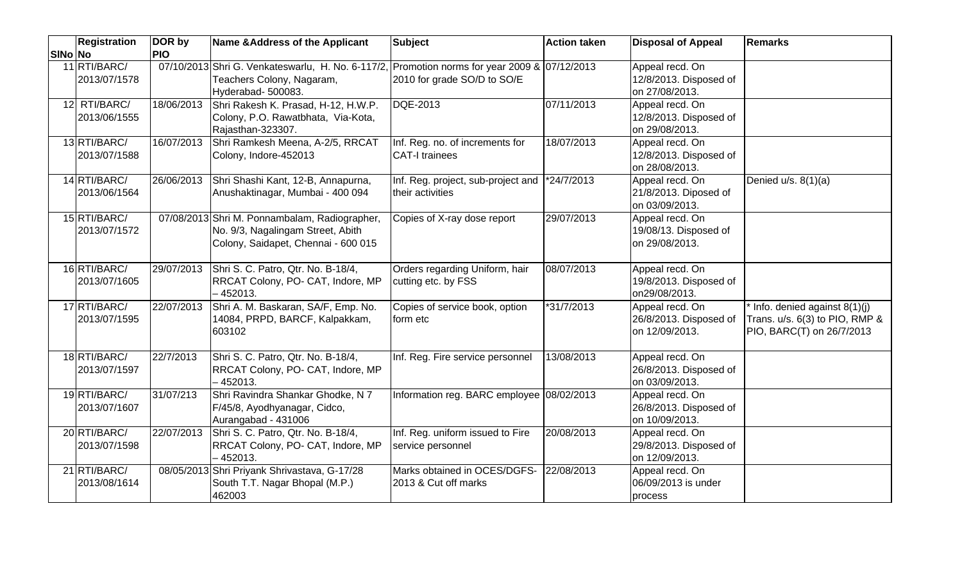|         | <b>Registration</b>          | DOR by     | Name & Address of the Applicant                                                                                                                 | <b>Subject</b>                                           | <b>Action taken</b> | <b>Disposal of Appeal</b>                                   | <b>Remarks</b>                                                                                |
|---------|------------------------------|------------|-------------------------------------------------------------------------------------------------------------------------------------------------|----------------------------------------------------------|---------------------|-------------------------------------------------------------|-----------------------------------------------------------------------------------------------|
| SINo No |                              | <b>PIO</b> |                                                                                                                                                 |                                                          |                     |                                                             |                                                                                               |
|         | 11 RTI/BARC/<br>2013/07/1578 |            | 07/10/2013 Shri G. Venkateswarlu, H. No. 6-117/2, Promotion norms for year 2009 & 07/12/2013<br>Teachers Colony, Nagaram,<br>Hyderabad- 500083. | 2010 for grade SO/D to SO/E                              |                     | Appeal recd. On<br>12/8/2013. Disposed of<br>on 27/08/2013. |                                                                                               |
|         | 12 RTI/BARC/<br>2013/06/1555 | 18/06/2013 | Shri Rakesh K. Prasad, H-12, H.W.P.<br>Colony, P.O. Rawatbhata, Via-Kota,<br>Rajasthan-323307.                                                  | DQE-2013                                                 | 07/11/2013          | Appeal recd. On<br>12/8/2013. Disposed of<br>on 29/08/2013. |                                                                                               |
|         | 13 RTI/BARC/<br>2013/07/1588 | 16/07/2013 | Shri Ramkesh Meena, A-2/5, RRCAT<br>Colony, Indore-452013                                                                                       | Inf. Reg. no. of increments for<br><b>CAT-I trainees</b> | 18/07/2013          | Appeal recd. On<br>12/8/2013. Disposed of<br>on 28/08/2013. |                                                                                               |
|         | 14 RTI/BARC/<br>2013/06/1564 | 26/06/2013 | Shri Shashi Kant, 12-B, Annapurna,<br>Anushaktinagar, Mumbai - 400 094                                                                          | Inf. Reg. project, sub-project and<br>their activities   | *24/7/2013          | Appeal recd. On<br>21/8/2013. Diposed of<br>on 03/09/2013.  | Denied $u/s. 8(1)(a)$                                                                         |
|         | 15 RTI/BARC/<br>2013/07/1572 |            | 07/08/2013 Shri M. Ponnambalam, Radiographer,<br>No. 9/3, Nagalingam Street, Abith<br>Colony, Saidapet, Chennai - 600 015                       | Copies of X-ray dose report                              | 29/07/2013          | Appeal recd. On<br>19/08/13. Disposed of<br>on 29/08/2013.  |                                                                                               |
|         | 16 RTI/BARC/<br>2013/07/1605 | 29/07/2013 | Shri S. C. Patro, Qtr. No. B-18/4,<br>RRCAT Colony, PO- CAT, Indore, MP<br>$-452013.$                                                           | Orders regarding Uniform, hair<br>cutting etc. by FSS    | 08/07/2013          | Appeal recd. On<br>19/8/2013. Disposed of<br>on29/08/2013.  |                                                                                               |
|         | 17 RTI/BARC/<br>2013/07/1595 | 22/07/2013 | Shri A. M. Baskaran, SA/F, Emp. No.<br>14084, PRPD, BARCF, Kalpakkam,<br>603102                                                                 | Copies of service book, option<br>form etc               | $*31/7/2013$        | Appeal recd. On<br>26/8/2013. Disposed of<br>on 12/09/2013. | * Info. denied against 8(1)(j)<br>Trans. u/s. 6(3) to PIO, RMP &<br>PIO, BARC(T) on 26/7/2013 |
|         | 18 RTI/BARC/<br>2013/07/1597 | 22/7/2013  | Shri S. C. Patro, Qtr. No. B-18/4,<br>RRCAT Colony, PO- CAT, Indore, MP<br>$-452013.$                                                           | Inf. Reg. Fire service personnel                         | 13/08/2013          | Appeal recd. On<br>26/8/2013. Disposed of<br>on 03/09/2013. |                                                                                               |
|         | 19 RTI/BARC/<br>2013/07/1607 | 31/07/213  | Shri Ravindra Shankar Ghodke, N 7<br>F/45/8, Ayodhyanagar, Cidco,<br>Aurangabad - 431006                                                        | Information reg. BARC employee 08/02/2013                |                     | Appeal recd. On<br>26/8/2013. Disposed of<br>on 10/09/2013. |                                                                                               |
|         | 20 RTI/BARC/<br>2013/07/1598 | 22/07/2013 | Shri S. C. Patro, Qtr. No. B-18/4,<br>RRCAT Colony, PO- CAT, Indore, MP<br>$-452013.$                                                           | Inf. Reg. uniform issued to Fire<br>service personnel    | 20/08/2013          | Appeal recd. On<br>29/8/2013. Disposed of<br>on 12/09/2013. |                                                                                               |
|         | 21 RTI/BARC/<br>2013/08/1614 |            | 08/05/2013 Shri Priyank Shrivastava, G-17/28<br>South T.T. Nagar Bhopal (M.P.)<br>462003                                                        | Marks obtained in OCES/DGFS-<br>2013 & Cut off marks     | 22/08/2013          | Appeal recd. On<br>06/09/2013 is under<br>process           |                                                                                               |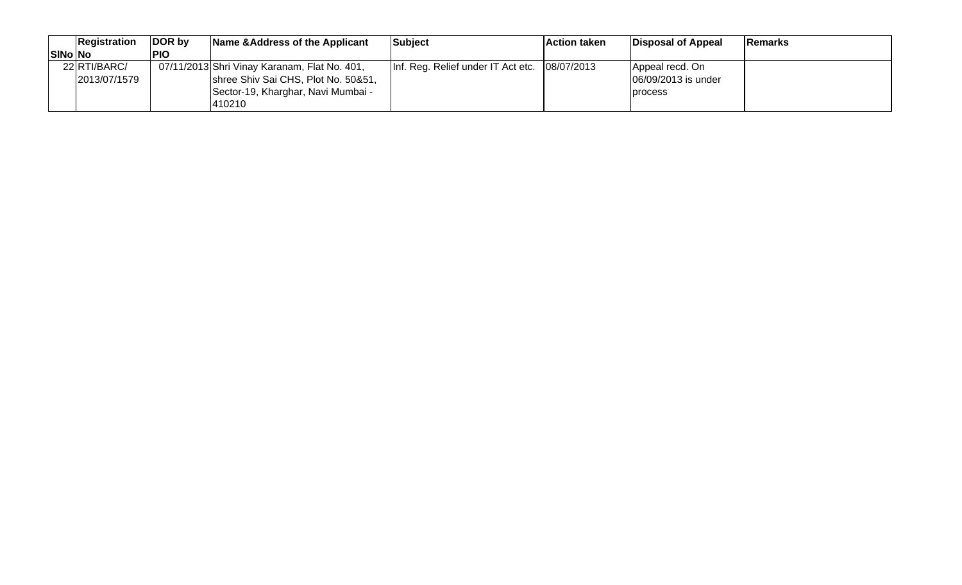|                | Registration | DOR by     | Name & Address of the Applicant              | <b>Subject</b>                                | <b>Action taken</b> | Disposal of Appeal  | <b>IRemarks</b> |
|----------------|--------------|------------|----------------------------------------------|-----------------------------------------------|---------------------|---------------------|-----------------|
| <b>SINo No</b> |              | <b>PIO</b> |                                              |                                               |                     |                     |                 |
|                | 22 RTI/BARC/ |            | 07/11/2013 Shri Vinay Karanam, Flat No. 401, | Inf. Reg. Relief under IT Act etc. 08/07/2013 |                     | Appeal recd. On     |                 |
|                | 2013/07/1579 |            | shree Shiv Sai CHS, Plot No. 50&51,          |                                               |                     | 06/09/2013 is under |                 |
|                |              |            | Sector-19, Kharghar, Navi Mumbai -           |                                               |                     | <b>process</b>      |                 |
|                |              |            | 410210                                       |                                               |                     |                     |                 |